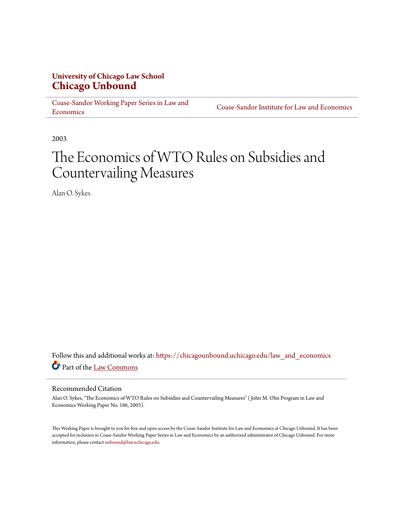# **University of Chicago Law School [Chicago Unbound](https://chicagounbound.uchicago.edu?utm_source=chicagounbound.uchicago.edu%2Flaw_and_economics%2F516&utm_medium=PDF&utm_campaign=PDFCoverPages)**

[Coase-Sandor Working Paper Series in Law and](https://chicagounbound.uchicago.edu/law_and_economics?utm_source=chicagounbound.uchicago.edu%2Flaw_and_economics%2F516&utm_medium=PDF&utm_campaign=PDFCoverPages) [Economics](https://chicagounbound.uchicago.edu/law_and_economics?utm_source=chicagounbound.uchicago.edu%2Flaw_and_economics%2F516&utm_medium=PDF&utm_campaign=PDFCoverPages)

[Coase-Sandor Institute for Law and Economics](https://chicagounbound.uchicago.edu/coase_sandor_institute?utm_source=chicagounbound.uchicago.edu%2Flaw_and_economics%2F516&utm_medium=PDF&utm_campaign=PDFCoverPages)

2003

# The Economics of WTO Rules on Subsidies and Countervailing Measures

Alan O. Sykes

Follow this and additional works at: [https://chicagounbound.uchicago.edu/law\\_and\\_economics](https://chicagounbound.uchicago.edu/law_and_economics?utm_source=chicagounbound.uchicago.edu%2Flaw_and_economics%2F516&utm_medium=PDF&utm_campaign=PDFCoverPages) Part of the [Law Commons](http://network.bepress.com/hgg/discipline/578?utm_source=chicagounbound.uchicago.edu%2Flaw_and_economics%2F516&utm_medium=PDF&utm_campaign=PDFCoverPages)

#### Recommended Citation

Alan O. Sykes, "The Economics of WTO Rules on Subsidies and Countervailing Measures" ( John M. Olin Program in Law and Economics Working Paper No. 186, 2003).

This Working Paper is brought to you for free and open access by the Coase-Sandor Institute for Law and Economics at Chicago Unbound. It has been accepted for inclusion in Coase-Sandor Working Paper Series in Law and Economics by an authorized administrator of Chicago Unbound. For more information, please contact [unbound@law.uchicago.edu.](mailto:unbound@law.uchicago.edu)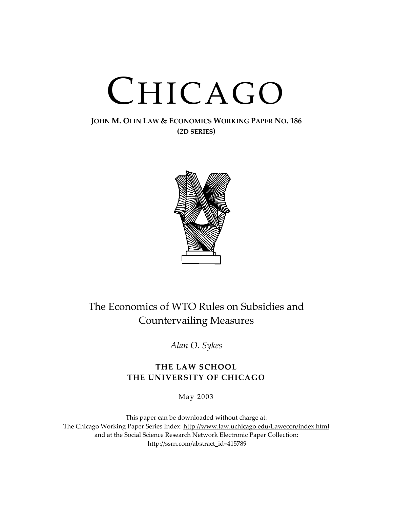# CHICAGO

### **JOHN M. OLIN LAW & ECONOMICS WORKING PAPER NO. 186 (2D SERIES)**



# The Economics of WTO Rules on Subsidies and Countervailing Measures

*Alan O. Sykes*

# **THE LAW SCHOOL THE UNIVERSITY OF CHICAGO**

May 2003

This paper can be downloaded without charge at: The Chicago Working Paper Series Index: [http://www.law.uchicago.edu/Lawecon/index.html](http://www.law.uchicago.edu/Publications/Working/index.html) and at the Social Science Research Network Electronic Paper Collection: [http://ssrn.com/abstract\\_id=](http://papers.ssrn.com/sol3/search.taf)415789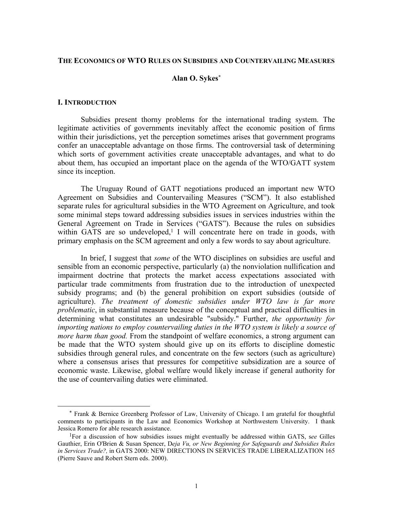#### **THE ECONOMICS OF WTO RULES ON SUBSIDIES AND COUNTERVAILING MEASURES**

#### **Alan O. Sykes**[\\*](#page-2-0)

#### **I. INTRODUCTION**

Subsidies present thorny problems for the international trading system. The legitimate activities of governments inevitably affect the economic position of firms within their jurisdictions, yet the perception sometimes arises that government programs confer an unacceptable advantage on those firms. The controversial task of determining which sorts of government activities create unacceptable advantages, and what to do about them, has occupied an important place on the agenda of the WTO/GATT system since its inception.

The Uruguay Round of GATT negotiations produced an important new WTO Agreement on Subsidies and Countervailing Measures ("SCM"). It also established separate rules for agricultural subsidies in the WTO Agreement on Agriculture, and took some minimal steps toward addressing subsidies issues in services industries within the General Agreement on Trade in Services ("GATS"). Because the rules on subsidies within GATS are so undeveloped, $1$  I will concentrate here on trade in goods, with primary emphasis on the SCM agreement and only a few words to say about agriculture.

In brief, I suggest that *some* of the WTO disciplines on subsidies are useful and sensible from an economic perspective, particularly (a) the nonviolation nullification and impairment doctrine that protects the market access expectations associated with particular trade commitments from frustration due to the introduction of unexpected subsidy programs; and (b) the general prohibition on export subsidies (outside of agriculture). *The treatment of domestic subsidies under WTO law is far more problematic*, in substantial measure because of the conceptual and practical difficulties in determining what constitutes an undesirable "subsidy." Further, *the opportunity for importing nations to employ countervailing duties in the WTO system is likely a source of more harm than good.* From the standpoint of welfare economics, a strong argument can be made that the WTO system should give up on its efforts to discipline domestic subsidies through general rules, and concentrate on the few sectors (such as agriculture) where a consensus arises that pressures for competitive subsidization are a source of economic waste. Likewise, global welfare would likely increase if general authority for the use of countervailing duties were eliminated.

<span id="page-2-0"></span> <sup>\*</sup> Frank & Bernice Greenberg Professor of Law, University of Chicago. I am grateful for thoughtful comments to participants in the Law and Economics Workshop at Northwestern University. I thank Jessica Romero for able research assistance.

<span id="page-2-1"></span><sup>1</sup>For a discussion of how subsidies issues might eventually be addressed within GATS, s*ee* Gilles Gauthier, Erin O'Brien & Susan Spencer, D*eja Vu, or New Beginning for Safeguards and Subsidies Rules in Services Trade?,* in GATS 2000: NEW DIRECTIONS IN SERVICES TRADE LIBERALIZATION 165 (Pierre Sauve and Robert Stern eds. 2000).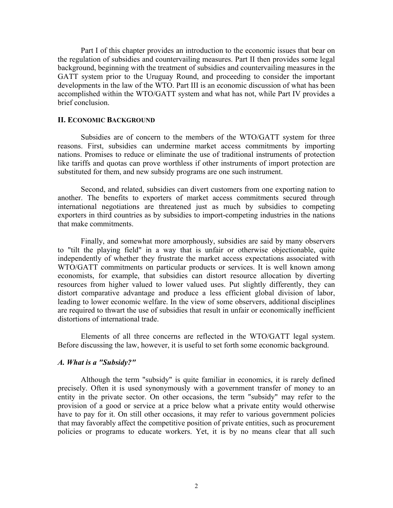Part I of this chapter provides an introduction to the economic issues that bear on the regulation of subsidies and countervailing measures. Part II then provides some legal background, beginning with the treatment of subsidies and countervailing measures in the GATT system prior to the Uruguay Round, and proceeding to consider the important developments in the law of the WTO. Part III is an economic discussion of what has been accomplished within the WTO/GATT system and what has not, while Part IV provides a brief conclusion.

#### **II. ECONOMIC BACKGROUND**

Subsidies are of concern to the members of the WTO/GATT system for three reasons. First, subsidies can undermine market access commitments by importing nations. Promises to reduce or eliminate the use of traditional instruments of protection like tariffs and quotas can prove worthless if other instruments of import protection are substituted for them, and new subsidy programs are one such instrument.

Second, and related, subsidies can divert customers from one exporting nation to another. The benefits to exporters of market access commitments secured through international negotiations are threatened just as much by subsidies to competing exporters in third countries as by subsidies to import-competing industries in the nations that make commitments.

Finally, and somewhat more amorphously, subsidies are said by many observers to "tilt the playing field" in a way that is unfair or otherwise objectionable, quite independently of whether they frustrate the market access expectations associated with WTO/GATT commitments on particular products or services. It is well known among economists, for example, that subsidies can distort resource allocation by diverting resources from higher valued to lower valued uses. Put slightly differently, they can distort comparative advantage and produce a less efficient global division of labor, leading to lower economic welfare. In the view of some observers, additional disciplines are required to thwart the use of subsidies that result in unfair or economically inefficient distortions of international trade.

Elements of all three concerns are reflected in the WTO/GATT legal system. Before discussing the law, however, it is useful to set forth some economic background.

#### *A. What is a "Subsidy?"*

Although the term "subsidy" is quite familiar in economics, it is rarely defined precisely. Often it is used synonymously with a government transfer of money to an entity in the private sector. On other occasions, the term "subsidy" may refer to the provision of a good or service at a price below what a private entity would otherwise have to pay for it. On still other occasions, it may refer to various government policies that may favorably affect the competitive position of private entities, such as procurement policies or programs to educate workers. Yet, it is by no means clear that all such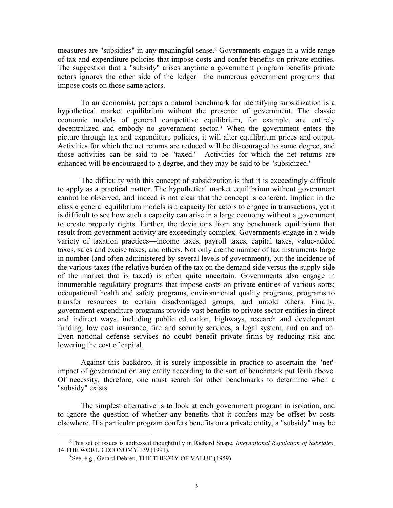measures are "subsidies" in any meaningful sense.[2](#page-4-0) Governments engage in a wide range of tax and expenditure policies that impose costs and confer benefits on private entities. The suggestion that a "subsidy" arises anytime a government program benefits private actors ignores the other side of the ledger—the numerous government programs that impose costs on those same actors.

To an economist, perhaps a natural benchmark for identifying subsidization is a hypothetical market equilibrium without the presence of government. The classic economic models of general competitive equilibrium, for example, are entirely decentralized and embody no government sector.[3](#page-4-1) When the government enters the picture through tax and expenditure policies, it will alter equilibrium prices and output. Activities for which the net returns are reduced will be discouraged to some degree, and those activities can be said to be "taxed." Activities for which the net returns are enhanced will be encouraged to a degree, and they may be said to be "subsidized."

The difficulty with this concept of subsidization is that it is exceedingly difficult to apply as a practical matter. The hypothetical market equilibrium without government cannot be observed, and indeed is not clear that the concept is coherent. Implicit in the classic general equilibrium models is a capacity for actors to engage in transactions, yet it is difficult to see how such a capacity can arise in a large economy without a government to create property rights. Further, the deviations from any benchmark equilibrium that result from government activity are exceedingly complex. Governments engage in a wide variety of taxation practices—income taxes, payroll taxes, capital taxes, value-added taxes, sales and excise taxes, and others. Not only are the number of tax instruments large in number (and often administered by several levels of government), but the incidence of the various taxes (the relative burden of the tax on the demand side versus the supply side of the market that is taxed) is often quite uncertain. Governments also engage in innumerable regulatory programs that impose costs on private entities of various sorts; occupational health and safety programs, environmental quality programs, programs to transfer resources to certain disadvantaged groups, and untold others. Finally, government expenditure programs provide vast benefits to private sector entities in direct and indirect ways, including public education, highways, research and development funding, low cost insurance, fire and security services, a legal system, and on and on. Even national defense services no doubt benefit private firms by reducing risk and lowering the cost of capital.

Against this backdrop, it is surely impossible in practice to ascertain the "net" impact of government on any entity according to the sort of benchmark put forth above. Of necessity, therefore, one must search for other benchmarks to determine when a "subsidy" exists.

The simplest alternative is to look at each government program in isolation, and to ignore the question of whether any benefits that it confers may be offset by costs elsewhere. If a particular program confers benefits on a private entity, a "subsidy" may be

<span id="page-4-0"></span> <sup>2</sup>This set of issues is addressed thoughtfully in Richard Snape, *International Regulation of Subsidies*, 14 THE WORLD ECONOMY 139 (1991).

<span id="page-4-1"></span><sup>&</sup>lt;sup>3</sup>See, e.g., Gerard Debreu, THE THEORY OF VALUE (1959).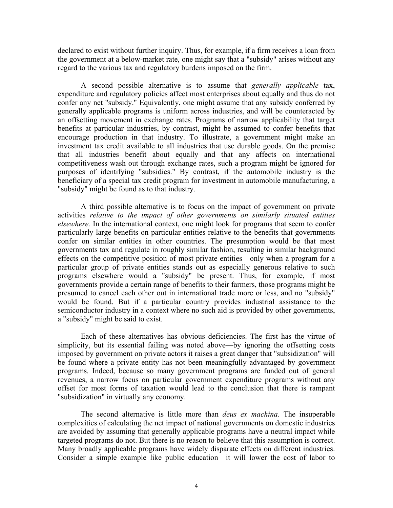declared to exist without further inquiry. Thus, for example, if a firm receives a loan from the government at a below-market rate, one might say that a "subsidy" arises without any regard to the various tax and regulatory burdens imposed on the firm.

A second possible alternative is to assume that *generally applicable* tax, expenditure and regulatory policies affect most enterprises about equally and thus do not confer any net "subsidy." Equivalently, one might assume that any subsidy conferred by generally applicable programs is uniform across industries, and will be counteracted by an offsetting movement in exchange rates. Programs of narrow applicability that target benefits at particular industries, by contrast, might be assumed to confer benefits that encourage production in that industry. To illustrate, a government might make an investment tax credit available to all industries that use durable goods. On the premise that all industries benefit about equally and that any affects on international competitiveness wash out through exchange rates, such a program might be ignored for purposes of identifying "subsidies." By contrast, if the automobile industry is the beneficiary of a special tax credit program for investment in automobile manufacturing, a "subsidy" might be found as to that industry.

A third possible alternative is to focus on the impact of government on private activities *relative to the impact of other governments on similarly situated entities elsewhere.* In the international context, one might look for programs that seem to confer particularly large benefits on particular entities relative to the benefits that governments confer on similar entities in other countries. The presumption would be that most governments tax and regulate in roughly similar fashion, resulting in similar background effects on the competitive position of most private entities—only when a program for a particular group of private entities stands out as especially generous relative to such programs elsewhere would a "subsidy" be present. Thus, for example, if most governments provide a certain range of benefits to their farmers, those programs might be presumed to cancel each other out in international trade more or less, and no "subsidy" would be found. But if a particular country provides industrial assistance to the semiconductor industry in a context where no such aid is provided by other governments, a "subsidy" might be said to exist.

Each of these alternatives has obvious deficiencies. The first has the virtue of simplicity, but its essential failing was noted above—by ignoring the offsetting costs imposed by government on private actors it raises a great danger that "subsidization" will be found where a private entity has not been meaningfully advantaged by government programs. Indeed, because so many government programs are funded out of general revenues, a narrow focus on particular government expenditure programs without any offset for most forms of taxation would lead to the conclusion that there is rampant "subsidization" in virtually any economy.

The second alternative is little more than *deus ex machina*. The insuperable complexities of calculating the net impact of national governments on domestic industries are avoided by assuming that generally applicable programs have a neutral impact while targeted programs do not. But there is no reason to believe that this assumption is correct. Many broadly applicable programs have widely disparate effects on different industries. Consider a simple example like public education—it will lower the cost of labor to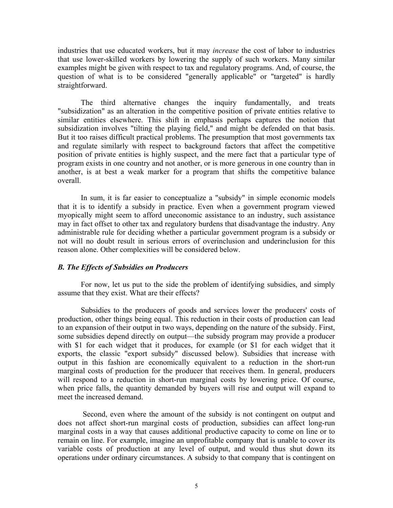industries that use educated workers, but it may *increase* the cost of labor to industries that use lower-skilled workers by lowering the supply of such workers. Many similar examples might be given with respect to tax and regulatory programs. And, of course, the question of what is to be considered "generally applicable" or "targeted" is hardly straightforward.

The third alternative changes the inquiry fundamentally, and treats "subsidization" as an alteration in the competitive position of private entities relative to similar entities elsewhere. This shift in emphasis perhaps captures the notion that subsidization involves "tilting the playing field," and might be defended on that basis. But it too raises difficult practical problems. The presumption that most governments tax and regulate similarly with respect to background factors that affect the competitive position of private entities is highly suspect, and the mere fact that a particular type of program exists in one country and not another, or is more generous in one country than in another, is at best a weak marker for a program that shifts the competitive balance overall.

In sum, it is far easier to conceptualize a "subsidy" in simple economic models that it is to identify a subsidy in practice. Even when a government program viewed myopically might seem to afford uneconomic assistance to an industry, such assistance may in fact offset to other tax and regulatory burdens that disadvantage the industry. Any administrable rule for deciding whether a particular government program is a subsidy or not will no doubt result in serious errors of overinclusion and underinclusion for this reason alone. Other complexities will be considered below.

#### *B. The Effects of Subsidies on Producers*

For now, let us put to the side the problem of identifying subsidies, and simply assume that they exist. What are their effects?

Subsidies to the producers of goods and services lower the producers' costs of production, other things being equal. This reduction in their costs of production can lead to an expansion of their output in two ways, depending on the nature of the subsidy. First, some subsidies depend directly on output—the subsidy program may provide a producer with \$1 for each widget that it produces, for example (or \$1 for each widget that it exports, the classic "export subsidy" discussed below). Subsidies that increase with output in this fashion are economically equivalent to a reduction in the short-run marginal costs of production for the producer that receives them. In general, producers will respond to a reduction in short-run marginal costs by lowering price. Of course, when price falls, the quantity demanded by buyers will rise and output will expand to meet the increased demand.

Second, even where the amount of the subsidy is not contingent on output and does not affect short-run marginal costs of production, subsidies can affect long-run marginal costs in a way that causes additional productive capacity to come on line or to remain on line. For example, imagine an unprofitable company that is unable to cover its variable costs of production at any level of output, and would thus shut down its operations under ordinary circumstances. A subsidy to that company that is contingent on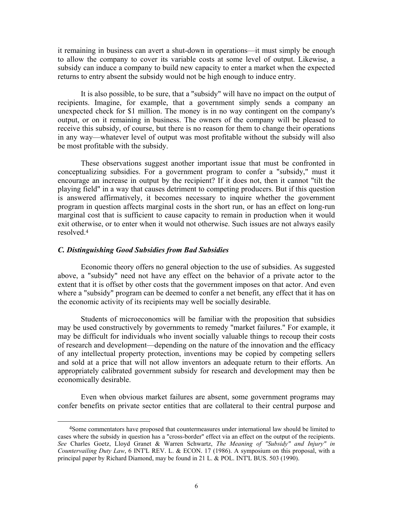it remaining in business can avert a shut-down in operations—it must simply be enough to allow the company to cover its variable costs at some level of output. Likewise, a subsidy can induce a company to build new capacity to enter a market when the expected returns to entry absent the subsidy would not be high enough to induce entry.

It is also possible, to be sure, that a "subsidy" will have no impact on the output of recipients. Imagine, for example, that a government simply sends a company an unexpected check for \$1 million. The money is in no way contingent on the company's output, or on it remaining in business. The owners of the company will be pleased to receive this subsidy, of course, but there is no reason for them to change their operations in any way—whatever level of output was most profitable without the subsidy will also be most profitable with the subsidy.

These observations suggest another important issue that must be confronted in conceptualizing subsidies. For a government program to confer a "subsidy," must it encourage an increase in output by the recipient? If it does not, then it cannot "tilt the playing field" in a way that causes detriment to competing producers. But if this question is answered affirmatively, it becomes necessary to inquire whether the government program in question affects marginal costs in the short run, or has an effect on long-run marginal cost that is sufficient to cause capacity to remain in production when it would exit otherwise, or to enter when it would not otherwise. Such issues are not always easily resolved<sup>[4](#page-7-0)</sup>

#### *C. Distinguishing Good Subsidies from Bad Subsidies*

Economic theory offers no general objection to the use of subsidies. As suggested above, a "subsidy" need not have any effect on the behavior of a private actor to the extent that it is offset by other costs that the government imposes on that actor. And even where a "subsidy" program can be deemed to confer a net benefit, any effect that it has on the economic activity of its recipients may well be socially desirable.

Students of microeconomics will be familiar with the proposition that subsidies may be used constructively by governments to remedy "market failures." For example, it may be difficult for individuals who invent socially valuable things to recoup their costs of research and development—depending on the nature of the innovation and the efficacy of any intellectual property protection, inventions may be copied by competing sellers and sold at a price that will not allow inventors an adequate return to their efforts. An appropriately calibrated government subsidy for research and development may then be economically desirable.

Even when obvious market failures are absent, some government programs may confer benefits on private sector entities that are collateral to their central purpose and

<span id="page-7-0"></span> <sup>4</sup>Some commentators have proposed that countermeasures under international law should be limited to cases where the subsidy in question has a "cross-border" effect via an effect on the output of the recipients. *See* Charles Goetz, Lloyd Granet & Warren Schwartz, *The Meaning of "Subsidy" and Injury" in Countervailing Duty Law*, 6 INT'L REV. L. & ECON. 17 (1986). A symposium on this proposal, with a principal paper by Richard Diamond, may be found in 21 L. & POL. INT'L BUS. 503 (1990).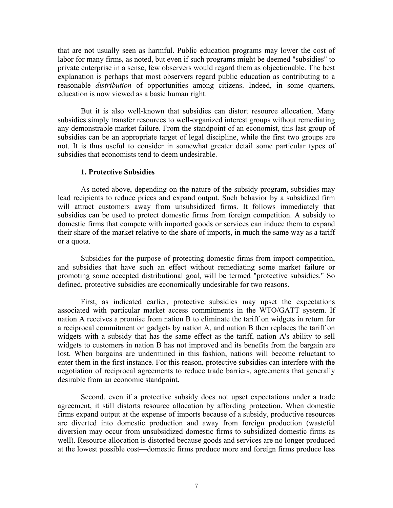that are not usually seen as harmful. Public education programs may lower the cost of labor for many firms, as noted, but even if such programs might be deemed "subsidies" to private enterprise in a sense, few observers would regard them as objectionable. The best explanation is perhaps that most observers regard public education as contributing to a reasonable *distribution* of opportunities among citizens. Indeed, in some quarters, education is now viewed as a basic human right.

But it is also well-known that subsidies can distort resource allocation. Many subsidies simply transfer resources to well-organized interest groups without remediating any demonstrable market failure. From the standpoint of an economist, this last group of subsidies can be an appropriate target of legal discipline, while the first two groups are not. It is thus useful to consider in somewhat greater detail some particular types of subsidies that economists tend to deem undesirable.

#### **1. Protective Subsidies**

As noted above, depending on the nature of the subsidy program, subsidies may lead recipients to reduce prices and expand output. Such behavior by a subsidized firm will attract customers away from unsubsidized firms. It follows immediately that subsidies can be used to protect domestic firms from foreign competition. A subsidy to domestic firms that compete with imported goods or services can induce them to expand their share of the market relative to the share of imports, in much the same way as a tariff or a quota.

Subsidies for the purpose of protecting domestic firms from import competition, and subsidies that have such an effect without remediating some market failure or promoting some accepted distributional goal, will be termed "protective subsidies." So defined, protective subsidies are economically undesirable for two reasons.

First, as indicated earlier, protective subsidies may upset the expectations associated with particular market access commitments in the WTO/GATT system. If nation A receives a promise from nation B to eliminate the tariff on widgets in return for a reciprocal commitment on gadgets by nation A, and nation B then replaces the tariff on widgets with a subsidy that has the same effect as the tariff, nation A's ability to sell widgets to customers in nation B has not improved and its benefits from the bargain are lost. When bargains are undermined in this fashion, nations will become reluctant to enter them in the first instance. For this reason, protective subsidies can interfere with the negotiation of reciprocal agreements to reduce trade barriers, agreements that generally desirable from an economic standpoint.

Second, even if a protective subsidy does not upset expectations under a trade agreement, it still distorts resource allocation by affording protection. When domestic firms expand output at the expense of imports because of a subsidy, productive resources are diverted into domestic production and away from foreign production (wasteful diversion may occur from unsubsidized domestic firms to subsidized domestic firms as well). Resource allocation is distorted because goods and services are no longer produced at the lowest possible cost—domestic firms produce more and foreign firms produce less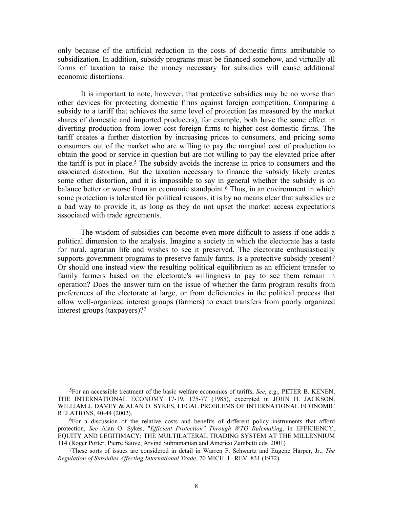only because of the artificial reduction in the costs of domestic firms attributable to subsidization. In addition, subsidy programs must be financed somehow, and virtually all forms of taxation to raise the money necessary for subsidies will cause additional economic distortions.

It is important to note, however, that protective subsidies may be no worse than other devices for protecting domestic firms against foreign competition. Comparing a subsidy to a tariff that achieves the same level of protection (as measured by the market shares of domestic and imported producers), for example, both have the same effect in diverting production from lower cost foreign firms to higher cost domestic firms. The tariff creates a further distortion by increasing prices to consumers, and pricing some consumers out of the market who are willing to pay the marginal cost of production to obtain the good or service in question but are not willing to pay the elevated price after the tariff is put in place.<sup>5</sup> The subsidy avoids the increase in price to consumers and the associated distortion. But the taxation necessary to finance the subsidy likely creates some other distortion, and it is impossible to say in general whether the subsidy is on balance better or worse from an economic standpoint.<sup>6</sup> Thus, in an environment in which some protection is tolerated for political reasons, it is by no means clear that subsidies are a bad way to provide it, as long as they do not upset the market access expectations associated with trade agreements.

The wisdom of subsidies can become even more difficult to assess if one adds a political dimension to the analysis. Imagine a society in which the electorate has a taste for rural, agrarian life and wishes to see it preserved. The electorate enthusiastically supports government programs to preserve family farms. Is a protective subsidy present? Or should one instead view the resulting political equilibrium as an efficient transfer to family farmers based on the electorate's willingness to pay to see them remain in operation? Does the answer turn on the issue of whether the farm program results from preferences of the electorate at large, or from deficiencies in the political process that allow well-organized interest groups (farmers) to exact transfers from poorly organized interest groups (taxpayers)?[7](#page-9-2) 

<span id="page-9-0"></span> <sup>5</sup>For an accessible treatment of the basic welfare economics of tariffs, *See*, e.g., PETER B. KENEN, THE INTERNATIONAL ECONOMY 17-19, 175-77 (1985), excerpted in JOHN H. JACKSON, WILLIAM J. DAVEY & ALAN O. SYKES, LEGAL PROBLEMS OF INTERNATIONAL ECONOMIC RELATIONS, 40-44 (2002).

<span id="page-9-1"></span><sup>6</sup>For a discussion of the relative costs and benefits of different policy instruments that afford protection, *See* Alan O. Sykes, "*Efficient Protection" Through WTO Rulemaking*, in EFFICIENCY, EQUITY AND LEGITIMACY: THE MULTILATERAL TRADING SYSTEM AT THE MILLENNIUM 114 (Roger Porter, Pierre Sauve, Arvind Subramanian and Americo Zambetti eds. 2001)

<span id="page-9-2"></span><sup>7</sup>These sorts of issues are considered in detail in Warren F. Schwartz and Eugene Harper, Jr., *The Regulation of Subsidies Affecting International Trade*, 70 MICH. L. REV. 831 (1972).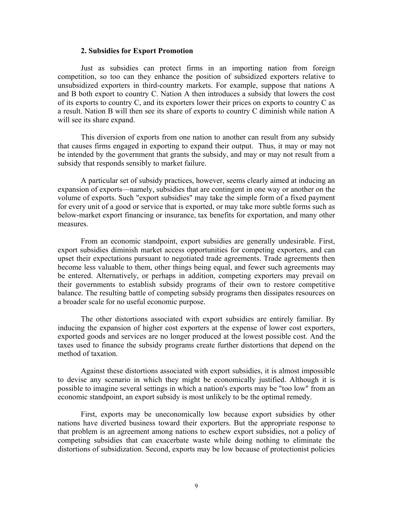#### **2. Subsidies for Export Promotion**

Just as subsidies can protect firms in an importing nation from foreign competition, so too can they enhance the position of subsidized exporters relative to unsubsidized exporters in third-country markets. For example, suppose that nations A and B both export to country C. Nation A then introduces a subsidy that lowers the cost of its exports to country C, and its exporters lower their prices on exports to country C as a result. Nation B will then see its share of exports to country C diminish while nation A will see its share expand.

This diversion of exports from one nation to another can result from any subsidy that causes firms engaged in exporting to expand their output. Thus, it may or may not be intended by the government that grants the subsidy, and may or may not result from a subsidy that responds sensibly to market failure.

A particular set of subsidy practices, however, seems clearly aimed at inducing an expansion of exports—namely, subsidies that are contingent in one way or another on the volume of exports. Such "export subsidies" may take the simple form of a fixed payment for every unit of a good or service that is exported, or may take more subtle forms such as below-market export financing or insurance, tax benefits for exportation, and many other measures.

From an economic standpoint, export subsidies are generally undesirable. First, export subsidies diminish market access opportunities for competing exporters, and can upset their expectations pursuant to negotiated trade agreements. Trade agreements then become less valuable to them, other things being equal, and fewer such agreements may be entered. Alternatively, or perhaps in addition, competing exporters may prevail on their governments to establish subsidy programs of their own to restore competitive balance. The resulting battle of competing subsidy programs then dissipates resources on a broader scale for no useful economic purpose.

The other distortions associated with export subsidies are entirely familiar. By inducing the expansion of higher cost exporters at the expense of lower cost exporters, exported goods and services are no longer produced at the lowest possible cost. And the taxes used to finance the subsidy programs create further distortions that depend on the method of taxation.

Against these distortions associated with export subsidies, it is almost impossible to devise any scenario in which they might be economically justified. Although it is possible to imagine several settings in which a nation's exports may be "too low" from an economic standpoint, an export subsidy is most unlikely to be the optimal remedy.

First, exports may be uneconomically low because export subsidies by other nations have diverted business toward their exporters. But the appropriate response to that problem is an agreement among nations to eschew export subsidies, not a policy of competing subsidies that can exacerbate waste while doing nothing to eliminate the distortions of subsidization. Second, exports may be low because of protectionist policies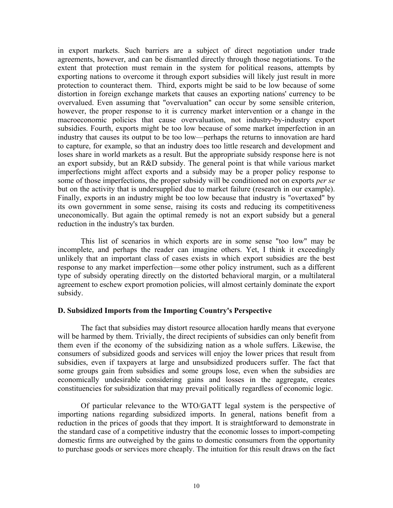in export markets. Such barriers are a subject of direct negotiation under trade agreements, however, and can be dismantled directly through those negotiations. To the extent that protection must remain in the system for political reasons, attempts by exporting nations to overcome it through export subsidies will likely just result in more protection to counteract them. Third, exports might be said to be low because of some distortion in foreign exchange markets that causes an exporting nations' currency to be overvalued. Even assuming that "overvaluation" can occur by some sensible criterion, however, the proper response to it is currency market intervention or a change in the macroeconomic policies that cause overvaluation, not industry-by-industry export subsidies. Fourth, exports might be too low because of some market imperfection in an industry that causes its output to be too low—perhaps the returns to innovation are hard to capture, for example, so that an industry does too little research and development and loses share in world markets as a result. But the appropriate subsidy response here is not an export subsidy, but an R&D subsidy. The general point is that while various market imperfections might affect exports and a subsidy may be a proper policy response to some of those imperfections, the proper subsidy will be conditioned not on exports *per se* but on the activity that is undersupplied due to market failure (research in our example). Finally, exports in an industry might be too low because that industry is "overtaxed" by its own government in some sense, raising its costs and reducing its competitiveness uneconomically. But again the optimal remedy is not an export subsidy but a general reduction in the industry's tax burden.

This list of scenarios in which exports are in some sense "too low" may be incomplete, and perhaps the reader can imagine others. Yet, I think it exceedingly unlikely that an important class of cases exists in which export subsidies are the best response to any market imperfection—some other policy instrument, such as a different type of subsidy operating directly on the distorted behavioral margin, or a multilateral agreement to eschew export promotion policies, will almost certainly dominate the export subsidy.

#### **D. Subsidized Imports from the Importing Country's Perspective**

The fact that subsidies may distort resource allocation hardly means that everyone will be harmed by them. Trivially, the direct recipients of subsidies can only benefit from them even if the economy of the subsidizing nation as a whole suffers. Likewise, the consumers of subsidized goods and services will enjoy the lower prices that result from subsidies, even if taxpayers at large and unsubsidized producers suffer. The fact that some groups gain from subsidies and some groups lose, even when the subsidies are economically undesirable considering gains and losses in the aggregate, creates constituencies for subsidization that may prevail politically regardless of economic logic.

Of particular relevance to the WTO/GATT legal system is the perspective of importing nations regarding subsidized imports. In general, nations benefit from a reduction in the prices of goods that they import. It is straightforward to demonstrate in the standard case of a competitive industry that the economic losses to import-competing domestic firms are outweighed by the gains to domestic consumers from the opportunity to purchase goods or services more cheaply. The intuition for this result draws on the fact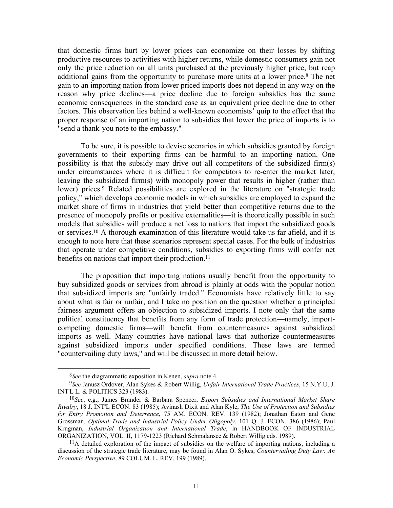that domestic firms hurt by lower prices can economize on their losses by shifting productive resources to activities with higher returns, while domestic consumers gain not only the price reduction on all units purchased at the previously higher price, but reap additional gains from the opportunity to purchase more units at a lower price[.8](#page-12-0) The net gain to an importing nation from lower priced imports does not depend in any way on the reason why price declines—a price decline due to foreign subsidies has the same economic consequences in the standard case as an equivalent price decline due to other factors. This observation lies behind a well-known economists' quip to the effect that the proper response of an importing nation to subsidies that lower the price of imports is to "send a thank-you note to the embassy."

To be sure, it is possible to devise scenarios in which subsidies granted by foreign governments to their exporting firms can be harmful to an importing nation. One possibility is that the subsidy may drive out all competitors of the subsidized firm(s) under circumstances where it is difficult for competitors to re-enter the market later, leaving the subsidized firm(s) with monopoly power that results in higher (rather than lower) prices.<sup>9</sup> Related possibilities are explored in the literature on "strategic trade policy," which develops economic models in which subsidies are employed to expand the market share of firms in industries that yield better than competitive returns due to the presence of monopoly profits or positive externalities—it is theoretically possible in such models that subsidies will produce a net loss to nations that import the subsidized goods or services.<sup>10</sup> A thorough examination of this literature would take us far afield, and it is enough to note here that these scenarios represent special cases. For the bulk of industries that operate under competitive conditions, subsidies to exporting firms will confer net benefits on nations that import their production.<sup>11</sup>

The proposition that importing nations usually benefit from the opportunity to buy subsidized goods or services from abroad is plainly at odds with the popular notion that subsidized imports are "unfairly traded." Economists have relatively little to say about what is fair or unfair, and I take no position on the question whether a principled fairness argument offers an objection to subsidized imports. I note only that the same political constituency that benefits from any form of trade protection—namely, importcompeting domestic firms—will benefit from countermeasures against subsidized imports as well. Many countries have national laws that authorize countermeasures against subsidized imports under specified conditions. These laws are termed "countervailing duty laws," and will be discussed in more detail below.

<span id="page-12-1"></span><span id="page-12-0"></span> <sup>8</sup>*See* the diagrammatic exposition in Kenen, *supra* note 4.

<sup>9</sup>*See* Janusz Ordover, Alan Sykes & Robert Willig, *Unfair International Trade Practices*, 15 N.Y.U. J. INT'L L. & POLITICS 323 (1983).

<span id="page-12-2"></span><sup>10</sup>*See*, e.g., James Brander & Barbara Spencer, *Export Subsidies and International Market Share Rivalry*, 18 J. INT'L ECON. 83 (1985); Avinash Dixit and Alan Kyle, *The Use of Protection and Subsidies for Entry Promotion and Deterrence*, 75 AM. ECON. REV. 139 (1982); Jonathan Eaton and Gene Grossman, *Optimal Trade and Industrial Policy Under Oligopoly*, 101 Q. J. ECON. 386 (1986); Paul Krugman, *Industrial Organization and International Trade*, in HANDBOOK OF INDUSTRIAL ORGANIZATION, VOL. II, 1179-1223 (Richard Schmalansee & Robert Willig eds. 1989).

<span id="page-12-3"></span> $11A$  detailed exploration of the impact of subsidies on the welfare of importing nations, including a discussion of the strategic trade literature, may be found in Alan O. Sykes, *Countervailing Duty Law: An Economic Perspective*, 89 COLUM. L. REV. 199 (1989).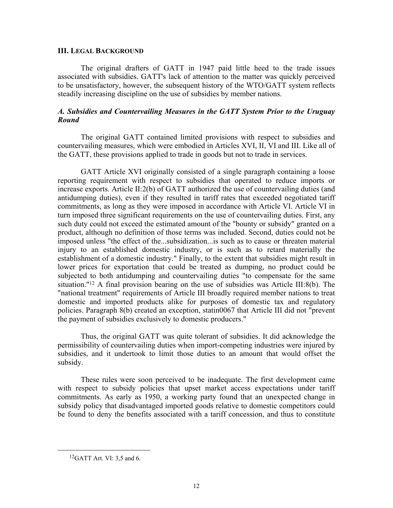#### **III. LEGAL BACKGROUND**

The original drafters of GATT in 1947 paid little heed to the trade issues associated with subsidies. GATT's lack of attention to the matter was quickly perceived to be unsatisfactory, however, the subsequent history of the WTO/GATT system reflects steadily increasing discipline on the use of subsidies by member nations.

#### *A. Subsidies and Countervailing Measures in the GATT System Prior to the Uruguay Round*

The original GATT contained limited provisions with respect to subsidies and countervailing measures, which were embodied in Articles XVI, II, VI and III. Like all of the GATT, these provisions applied to trade in goods but not to trade in services.

GATT Article XVI originally consisted of a single paragraph containing a loose reporting requirement with respect to subsidies that operated to reduce imports or increase exports. Article II:2(b) of GATT authorized the use of countervailing duties (and antidumping duties), even if they resulted in tariff rates that exceeded negotiated tariff commitments, as long as they were imposed in accordance with Article VI. Article VI in turn imposed three significant requirements on the use of countervailing duties. First, any such duty could not exceed the estimated amount of the "bounty or subsidy" granted on a product, although no definition of those terms was included. Second, duties could not be imposed unless "the effect of the...subsidization...is such as to cause or threaten material injury to an established domestic industry, or is such as to retard materially the establishment of a domestic industry." Finally, to the extent that subsidies might result in lower prices for exportation that could be treated as dumping, no product could be subjected to both antidumping and countervailing duties "to compensate for the same situation."[12](#page-13-0) A final provision bearing on the use of subsidies was Article III:8(b). The "national treatment" requirements of Article III broadly required member nations to treat domestic and imported products alike for purposes of domestic tax and regulatory policies. Paragraph 8(b) created an exception, statin0067 that Article III did not "prevent the payment of subsidies exclusively to domestic producers."

Thus, the original GATT was quite tolerant of subsidies. It did acknowledge the permissibility of countervailing duties when import-competing industries were injured by subsidies, and it undertook to limit those duties to an amount that would offset the subsidy.

These rules were soon perceived to be inadequate. The first development came with respect to subsidy policies that upset market access expectations under tariff commitments. As early as 1950, a working party found that an unexpected change in subsidy policy that disadvantaged imported goods relative to domestic competitors could be found to deny the benefits associated with a tariff concession, and thus to constitute

<span id="page-13-0"></span> <sup>12</sup>GATT Art. VI: 3,5 and 6.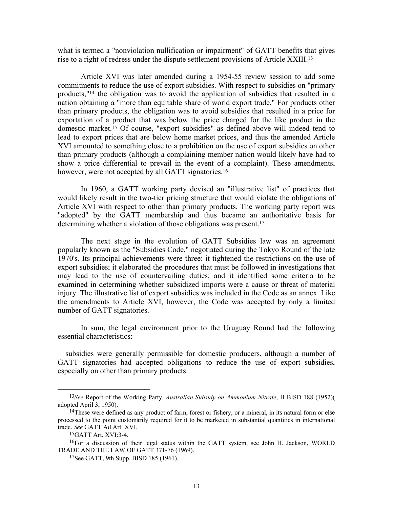what is termed a "nonviolation nullification or impairment" of GATT benefits that gives rise to a right of redress under the dispute settlement provisions of Article XXIII.[13](#page-14-0)

Article XVI was later amended during a 1954-55 review session to add some commitments to reduce the use of export subsidies. With respect to subsidies on "primary products,"[14](#page-14-1) the obligation was to avoid the application of subsidies that resulted in a nation obtaining a "more than equitable share of world export trade." For products other than primary products, the obligation was to avoid subsidies that resulted in a price for exportation of a product that was below the price charged for the like product in the domestic market.[15](#page-14-2) Of course, "export subsidies" as defined above will indeed tend to lead to export prices that are below home market prices, and thus the amended Article XVI amounted to something close to a prohibition on the use of export subsidies on other than primary products (although a complaining member nation would likely have had to show a price differential to prevail in the event of a complaint). These amendments, however, were not accepted by all GATT signatories.<sup>16</sup>

In 1960, a GATT working party devised an "illustrative list" of practices that would likely result in the two-tier pricing structure that would violate the obligations of Article XVI with respect to other than primary products. The working party report was "adopted" by the GATT membership and thus became an authoritative basis for determining whether a violation of those obligations was present[.17](#page-14-4)

The next stage in the evolution of GATT Subsidies law was an agreement popularly known as the "Subsidies Code," negotiated during the Tokyo Round of the late 1970's. Its principal achievements were three: it tightened the restrictions on the use of export subsidies; it elaborated the procedures that must be followed in investigations that may lead to the use of countervailing duties; and it identified some criteria to be examined in determining whether subsidized imports were a cause or threat of material injury. The illustrative list of export subsidies was included in the Code as an annex. Like the amendments to Article XVI, however, the Code was accepted by only a limited number of GATT signatories.

In sum, the legal environment prior to the Uruguay Round had the following essential characteristics:

—subsidies were generally permissible for domestic producers, although a number of GATT signatories had accepted obligations to reduce the use of export subsidies, especially on other than primary products.

<span id="page-14-0"></span> <sup>13</sup>*See* Report of the Working Party, *Australian Subsidy on Ammonium Nitrate*, II BISD 188 (1952)( adopted April 3, 1950).

<span id="page-14-1"></span><sup>&</sup>lt;sup>14</sup>These were defined as any product of farm, forest or fishery, or a mineral, in its natural form or else processed to the point customarily required for it to be marketed in substantial quantities in international trade. *See* GATT Ad Art. XVI.

<span id="page-14-3"></span><span id="page-14-2"></span><sup>15</sup>GATT Art. XVI:3-4.

<sup>16</sup>For a discussion of their legal status within the GATT system, see John H. Jackson, WORLD TRADE AND THE LAW OF GATT 371-76 (1969).

<span id="page-14-4"></span><sup>17</sup>See GATT, 9th Supp. BISD 185 (1961).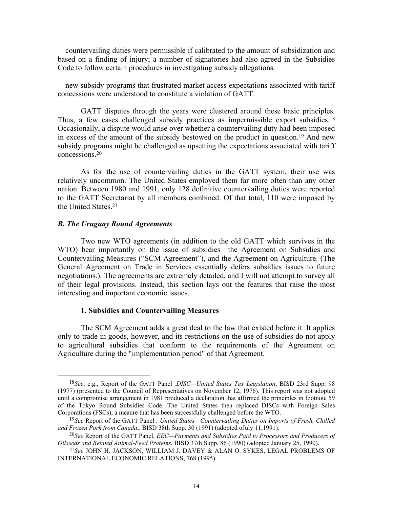—countervailing duties were permissible if calibrated to the amount of subsidization and based on a finding of injury; a number of signatories had also agreed in the Subsidies Code to follow certain procedures in investigating subsidy allegations.

—new subsidy programs that frustrated market access expectations associated with tariff concessions were understood to constitute a violation of GATT.

GATT disputes through the years were clustered around these basic principles. Thus, a few cases challenged subsidy practices as impermissible export subsidies[.18](#page-15-0) Occasionally, a dispute would arise over whether a countervailing duty had been imposed in excess of the amount of the subsidy bestowed on the product in question.[19](#page-15-1) And new subsidy programs might be challenged as upsetting the expectations associated with tariff concessions.[20](#page-15-2)

As for the use of countervailing duties in the GATT system, their use was relatively uncommon. The United States employed them far more often than any other nation. Between 1980 and 1991, only 128 definitive countervailing duties were reported to the GATT Secretariat by all members combined. Of that total, 110 were imposed by the United States.[21](#page-15-3)

#### *B. The Uruguay Round Agreements*

Two new WTO agreements (in addition to the old GATT which survives in the WTO) bear importantly on the issue of subsidies—the Agreement on Subsidies and Countervailing Measures ("SCM Agreement"), and the Agreement on Agriculture. (The General Agreement on Trade in Services essentially defers subsidies issues to future negotiations.). The agreements are extremely detailed, and I will not attempt to survey all of their legal provisions. Instead, this section lays out the features that raise the most interesting and important economic issues.

#### **1. Subsidies and Countervailing Measures**

The SCM Agreement adds a great deal to the law that existed before it. It applies only to trade in goods, however, and its restrictions on the use of subsidies do not apply to agricultural subsidies that conform to the requirements of the Agreement on Agriculture during the "implementation period" of that Agreement.

<span id="page-15-0"></span> <sup>18</sup>*See*, e.g., Report of the GATT Panel *,DISC—United States Tax Legislation*, BISD 23rd Supp. 98 (1977) (presented to the Council of Representatives on November 12, 1976). This report was not adopted until a compromise arrangement in 1981 produced a declaration that affirmed the principles in footnote 59 of the Tokyo Round Subsidies Code. The United States then replaced DISCs with Foreign Sales Corporations (FSCs), a meaure that has been successfully challenged before the WTO.

<span id="page-15-1"></span><sup>19</sup>*See* Report of the GATT Panel *, United States—Countervailing Duties on Imports of Fresh, Chilled and Frozen Pork from Canada*,. BISD 38th Supp. 30 (1991) (adopted oJuly 11,1991).

<span id="page-15-2"></span><sup>20</sup>*See* Report of the GATT Panel, *EEC—Payments and Subsidies Paid to Processors and Producers of Oilseeds and Related Animal-Feed Proteins*, BISD 37th Supp. 86 (1990) (adopted January 25, 1990).

<span id="page-15-3"></span><sup>21</sup>*See* JOHN H. JACKSON, WILLIAM J. DAVEY & ALAN O. SYKES, LEGAL PROBLEMS OF INTERNATIONAL ECONOMIC RELATIONS, 768 (1995).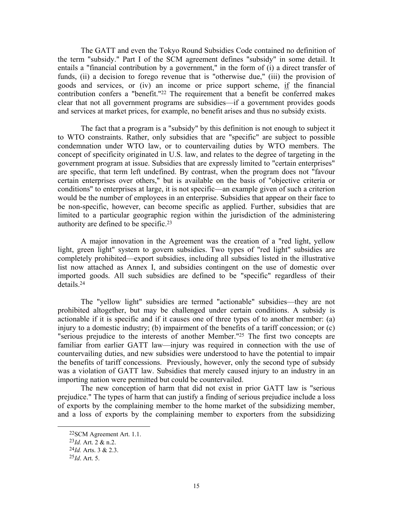The GATT and even the Tokyo Round Subsidies Code contained no definition of the term "subsidy." Part I of the SCM agreement defines "subsidy" in some detail. It entails a "financial contribution by a government," in the form of (i) a direct transfer of funds, (ii) a decision to forego revenue that is "otherwise due," (iii) the provision of goods and services, or (iv) an income or price support scheme, if the financial contribution confers a "benefit.["22](#page-16-0) The requirement that a benefit be conferred makes clear that not all government programs are subsidies—if a government provides goods and services at market prices, for example, no benefit arises and thus no subsidy exists.

The fact that a program is a "subsidy" by this definition is not enough to subject it to WTO constraints. Rather, only subsidies that are "specific" are subject to possible condemnation under WTO law, or to countervailing duties by WTO members. The concept of specificity originated in U.S. law, and relates to the degree of targeting in the government program at issue. Subsidies that are expressly limited to "certain enterprises" are specific, that term left undefined. By contrast, when the program does not "favour certain enterprises over others," but is available on the basis of "objective criteria or conditions" to enterprises at large, it is not specific—an example given of such a criterion would be the number of employees in an enterprise. Subsidies that appear on their face to be non-specific, however, can become specific as applied. Further, subsidies that are limited to a particular geographic region within the jurisdiction of the administering authority are defined to be specific[.23](#page-16-1)

A major innovation in the Agreement was the creation of a "red light, yellow light, green light" system to govern subsidies. Two types of "red light" subsidies are completely prohibited—export subsidies, including all subsidies listed in the illustrative list now attached as Annex I, and subsidies contingent on the use of domestic over imported goods. All such subsidies are defined to be "specific" regardless of their details.[24](#page-16-2)

The "yellow light" subsidies are termed "actionable" subsidies—they are not prohibited altogether, but may be challenged under certain conditions. A subsidy is actionable if it is specific and if it causes one of three types of to another member: (a) injury to a domestic industry; (b) impairment of the benefits of a tariff concession; or (c) "serious prejudice to the interests of another Member."[25](#page-16-3) The first two concepts are familiar from earlier GATT law—injury was required in connection with the use of countervailing duties, and new subsidies were understood to have the potential to impair the benefits of tariff concessions. Previously, however, only the second type of subsidy was a violation of GATT law. Subsidies that merely caused injury to an industry in an importing nation were permitted but could be countervailed.

The new conception of harm that did not exist in prior GATT law is "serious prejudice." The types of harm that can justify a finding of serious prejudice include a loss of exports by the complaining member to the home market of the subsidizing member, and a loss of exports by the complaining member to exporters from the subsidizing

<span id="page-16-0"></span> <sup>22</sup>SCM Agreement Art. 1.1.

<span id="page-16-1"></span> $^{23}$ *Id.* Art. 2 & n.2.

<span id="page-16-2"></span><sup>24</sup>*Id.* Arts. 3 & 2.3.

<span id="page-16-3"></span><sup>25</sup>*Id*. Art. 5.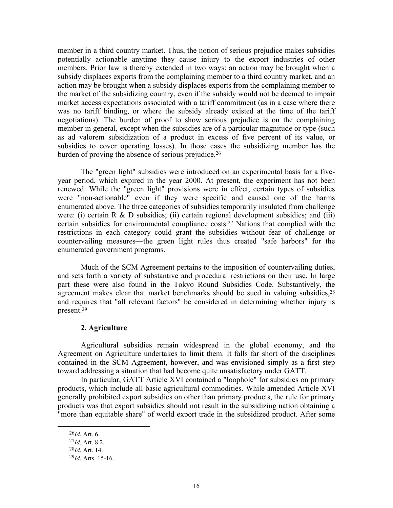member in a third country market. Thus, the notion of serious prejudice makes subsidies potentially actionable anytime they cause injury to the export industries of other members. Prior law is thereby extended in two ways: an action may be brought when a subsidy displaces exports from the complaining member to a third country market, and an action may be brought when a subsidy displaces exports from the complaining member to the market of the subsidizing country, even if the subsidy would not be deemed to impair market access expectations associated with a tariff commitment (as in a case where there was no tariff binding, or where the subsidy already existed at the time of the tariff negotiations). The burden of proof to show serious prejudice is on the complaining member in general, except when the subsidies are of a particular magnitude or type (such as ad valorem subsidization of a product in excess of five percent of its value, or subsidies to cover operating losses). In those cases the subsidizing member has the burden of proving the absence of serious prejudice[.26](#page-17-0)

The "green light" subsidies were introduced on an experimental basis for a fiveyear period, which expired in the year 2000. At present, the experiment has not been renewed. While the "green light" provisions were in effect, certain types of subsidies were "non-actionable" even if they were specific and caused one of the harms enumerated above. The three categories of subsidies temporarily insulated from challenge were: (i) certain R  $\&$  D subsidies; (ii) certain regional development subsidies; and (iii) certain subsidies for environmental compliance costs.[27](#page-17-1) Nations that complied with the restrictions in each category could grant the subsidies without fear of challenge or countervailing measures—the green light rules thus created "safe harbors" for the enumerated government programs.

Much of the SCM Agreement pertains to the imposition of countervailing duties, and sets forth a variety of substantive and procedural restrictions on their use. In large part these were also found in the Tokyo Round Subsidies Code. Substantively, the agreement makes clear that market benchmarks should be sued in valuing subsidies, <sup>28</sup> and requires that "all relevant factors" be considered in determining whether injury is present.[29](#page-17-3)

#### **2. Agriculture**

Agricultural subsidies remain widespread in the global economy, and the Agreement on Agriculture undertakes to limit them. It falls far short of the disciplines contained in the SCM Agreement, however, and was envisioned simply as a first step toward addressing a situation that had become quite unsatisfactory under GATT.

In particular, GATT Article XVI contained a "loophole" for subsidies on primary products, which include all basic agricultural commodities. While amended Article XVI generally prohibited export subsidies on other than primary products, the rule for primary products was that export subsidies should not result in the subsidizing nation obtaining a "more than equitable share" of world export trade in the subsidized product. After some

<span id="page-17-0"></span> <sup>26</sup>*Id*. Art. 6.

<span id="page-17-1"></span><sup>27</sup>*Id*. Art. 8.2.

<span id="page-17-2"></span><sup>28</sup>*Id*. Art. 14.

<span id="page-17-3"></span><sup>29</sup>*Id*. Arts. 15-16.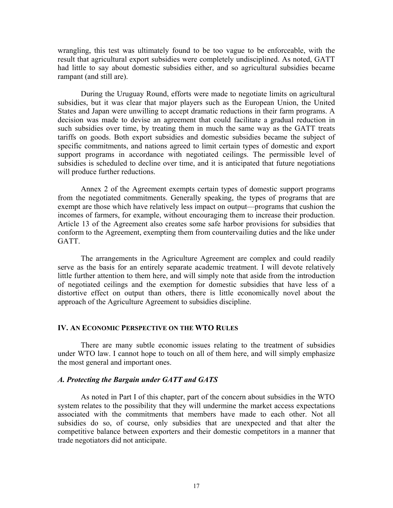wrangling, this test was ultimately found to be too vague to be enforceable, with the result that agricultural export subsidies were completely undisciplined. As noted, GATT had little to say about domestic subsidies either, and so agricultural subsidies became rampant (and still are).

During the Uruguay Round, efforts were made to negotiate limits on agricultural subsidies, but it was clear that major players such as the European Union, the United States and Japan were unwilling to accept dramatic reductions in their farm programs. A decision was made to devise an agreement that could facilitate a gradual reduction in such subsidies over time, by treating them in much the same way as the GATT treats tariffs on goods. Both export subsidies and domestic subsidies became the subject of specific commitments, and nations agreed to limit certain types of domestic and export support programs in accordance with negotiated ceilings. The permissible level of subsidies is scheduled to decline over time, and it is anticipated that future negotiations will produce further reductions.

Annex 2 of the Agreement exempts certain types of domestic support programs from the negotiated commitments. Generally speaking, the types of programs that are exempt are those which have relatively less impact on output—programs that cushion the incomes of farmers, for example, without encouraging them to increase their production. Article 13 of the Agreement also creates some safe harbor provisions for subsidies that conform to the Agreement, exempting them from countervailing duties and the like under GATT.

The arrangements in the Agriculture Agreement are complex and could readily serve as the basis for an entirely separate academic treatment. I will devote relatively little further attention to them here, and will simply note that aside from the introduction of negotiated ceilings and the exemption for domestic subsidies that have less of a distortive effect on output than others, there is little economically novel about the approach of the Agriculture Agreement to subsidies discipline.

#### **IV. AN ECONOMIC PERSPECTIVE ON THE WTO RULES**

There are many subtle economic issues relating to the treatment of subsidies under WTO law. I cannot hope to touch on all of them here, and will simply emphasize the most general and important ones.

#### *A. Protecting the Bargain under GATT and GATS*

As noted in Part I of this chapter, part of the concern about subsidies in the WTO system relates to the possibility that they will undermine the market access expectations associated with the commitments that members have made to each other. Not all subsidies do so, of course, only subsidies that are unexpected and that alter the competitive balance between exporters and their domestic competitors in a manner that trade negotiators did not anticipate.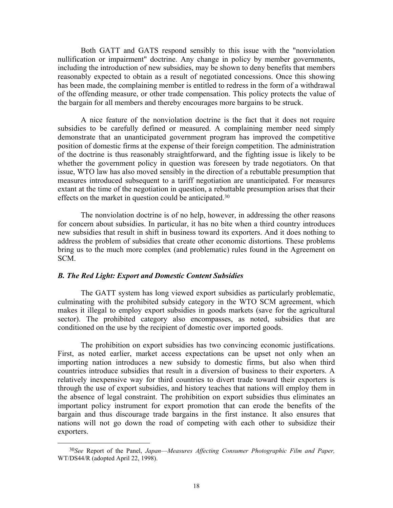Both GATT and GATS respond sensibly to this issue with the "nonviolation nullification or impairment" doctrine. Any change in policy by member governments, including the introduction of new subsidies, may be shown to deny benefits that members reasonably expected to obtain as a result of negotiated concessions. Once this showing has been made, the complaining member is entitled to redress in the form of a withdrawal of the offending measure, or other trade compensation. This policy protects the value of the bargain for all members and thereby encourages more bargains to be struck.

A nice feature of the nonviolation doctrine is the fact that it does not require subsidies to be carefully defined or measured. A complaining member need simply demonstrate that an unanticipated government program has improved the competitive position of domestic firms at the expense of their foreign competition. The administration of the doctrine is thus reasonably straightforward, and the fighting issue is likely to be whether the government policy in question was foreseen by trade negotiators. On that issue, WTO law has also moved sensibly in the direction of a rebuttable presumption that measures introduced subsequent to a tariff negotiation are unanticipated. For measures extant at the time of the negotiation in question, a rebuttable presumption arises that their effects on the market in question could be anticipated.[30](#page-19-0)

The nonviolation doctrine is of no help, however, in addressing the other reasons for concern about subsidies. In particular, it has no bite when a third country introduces new subsidies that result in shift in business toward its exporters. And it does nothing to address the problem of subsidies that create other economic distortions. These problems bring us to the much more complex (and problematic) rules found in the Agreement on SCM.

#### *B. The Red Light: Export and Domestic Content Subsidies*

The GATT system has long viewed export subsidies as particularly problematic, culminating with the prohibited subsidy category in the WTO SCM agreement, which makes it illegal to employ export subsidies in goods markets (save for the agricultural sector). The prohibited category also encompasses, as noted, subsidies that are conditioned on the use by the recipient of domestic over imported goods.

The prohibition on export subsidies has two convincing economic justifications. First, as noted earlier, market access expectations can be upset not only when an importing nation introduces a new subsidy to domestic firms, but also when third countries introduce subsidies that result in a diversion of business to their exporters. A relatively inexpensive way for third countries to divert trade toward their exporters is through the use of export subsidies, and history teaches that nations will employ them in the absence of legal constraint. The prohibition on export subsidies thus eliminates an important policy instrument for export promotion that can erode the benefits of the bargain and thus discourage trade bargains in the first instance. It also ensures that nations will not go down the road of competing with each other to subsidize their exporters.

<span id="page-19-0"></span> <sup>30</sup>*See* Report of the Panel, *Japan*—*Measures Affecting Consumer Photographic Film and Paper,* WT/DS44/R (adopted April 22, 1998).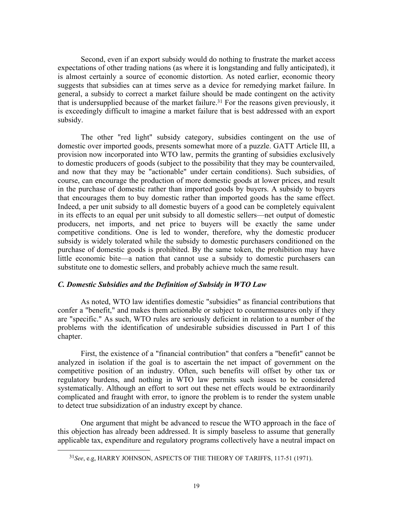Second, even if an export subsidy would do nothing to frustrate the market access expectations of other trading nations (as where it is longstanding and fully anticipated), it is almost certainly a source of economic distortion. As noted earlier, economic theory suggests that subsidies can at times serve as a device for remedying market failure. In general, a subsidy to correct a market failure should be made contingent on the activity that is undersupplied because of the market failure.<sup>31</sup> For the reasons given previously, it is exceedingly difficult to imagine a market failure that is best addressed with an export subsidy.

The other "red light" subsidy category, subsidies contingent on the use of domestic over imported goods, presents somewhat more of a puzzle. GATT Article III, a provision now incorporated into WTO law, permits the granting of subsidies exclusively to domestic producers of goods (subject to the possibility that they may be countervailed, and now that they may be "actionable" under certain conditions). Such subsidies, of course, can encourage the production of more domestic goods at lower prices, and result in the purchase of domestic rather than imported goods by buyers. A subsidy to buyers that encourages them to buy domestic rather than imported goods has the same effect. Indeed, a per unit subsidy to all domestic buyers of a good can be completely equivalent in its effects to an equal per unit subsidy to all domestic sellers—net output of domestic producers, net imports, and net price to buyers will be exactly the same under competitive conditions. One is led to wonder, therefore, why the domestic producer subsidy is widely tolerated while the subsidy to domestic purchasers conditioned on the purchase of domestic goods is prohibited. By the same token, the prohibition may have little economic bite—a nation that cannot use a subsidy to domestic purchasers can substitute one to domestic sellers, and probably achieve much the same result.

#### *C. Domestic Subsidies and the Definition of Subsidy in WTO Law*

As noted, WTO law identifies domestic "subsidies" as financial contributions that confer a "benefit," and makes them actionable or subject to countermeasures only if they are "specific." As such, WTO rules are seriously deficient in relation to a number of the problems with the identification of undesirable subsidies discussed in Part I of this chapter.

First, the existence of a "financial contribution" that confers a "benefit" cannot be analyzed in isolation if the goal is to ascertain the net impact of government on the competitive position of an industry. Often, such benefits will offset by other tax or regulatory burdens, and nothing in WTO law permits such issues to be considered systematically. Although an effort to sort out these net effects would be extraordinarily complicated and fraught with error, to ignore the problem is to render the system unable to detect true subsidization of an industry except by chance.

One argument that might be advanced to rescue the WTO approach in the face of this objection has already been addressed. It is simply baseless to assume that generally applicable tax, expenditure and regulatory programs collectively have a neutral impact on

<span id="page-20-0"></span> <sup>31</sup>*See*, e.g, HARRY JOHNSON, ASPECTS OF THE THEORY OF TARIFFS, 117-51 (1971).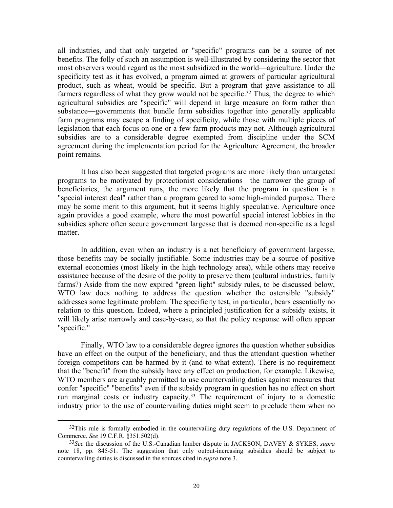all industries, and that only targeted or "specific" programs can be a source of net benefits. The folly of such an assumption is well-illustrated by considering the sector that most observers would regard as the most subsidized in the world—agriculture. Under the specificity test as it has evolved, a program aimed at growers of particular agricultural product, such as wheat, would be specific. But a program that gave assistance to all farmers regardless of what they grow would not be specific[.32](#page-21-0) Thus, the degree to which agricultural subsidies are "specific" will depend in large measure on form rather than substance—governments that bundle farm subsidies together into generally applicable farm programs may escape a finding of specificity, while those with multiple pieces of legislation that each focus on one or a few farm products may not. Although agricultural subsidies are to a considerable degree exempted from discipline under the SCM agreement during the implementation period for the Agriculture Agreement, the broader point remains.

It has also been suggested that targeted programs are more likely than untargeted programs to be motivated by protectionist considerations—the narrower the group of beneficiaries, the argument runs, the more likely that the program in question is a "special interest deal" rather than a program geared to some high-minded purpose. There may be some merit to this argument, but it seems highly speculative. Agriculture once again provides a good example, where the most powerful special interest lobbies in the subsidies sphere often secure government largesse that is deemed non-specific as a legal matter.

In addition, even when an industry is a net beneficiary of government largesse, those benefits may be socially justifiable. Some industries may be a source of positive external economies (most likely in the high technology area), while others may receive assistance because of the desire of the polity to preserve them (cultural industries, family farms?) Aside from the now expired "green light" subsidy rules, to be discussed below, WTO law does nothing to address the question whether the ostensible "subsidy" addresses some legitimate problem. The specificity test, in particular, bears essentially no relation to this question. Indeed, where a principled justification for a subsidy exists, it will likely arise narrowly and case-by-case, so that the policy response will often appear "specific."

Finally, WTO law to a considerable degree ignores the question whether subsidies have an effect on the output of the beneficiary, and thus the attendant question whether foreign competitors can be harmed by it (and to what extent). There is no requirement that the "benefit" from the subsidy have any effect on production, for example. Likewise, WTO members are arguably permitted to use countervailing duties against measures that confer "specific" "benefits" even if the subsidy program in question has no effect on short run marginal costs or industry capacity.[33](#page-21-1) The requirement of injury to a domestic industry prior to the use of countervailing duties might seem to preclude them when no

<span id="page-21-0"></span> $32$ This rule is formally embodied in the countervailing duty regulations of the U.S. Department of Commerce. *See* 19 C.F.R. §351.502(d).

<span id="page-21-1"></span><sup>33</sup>*See* the discussion of the U.S.-Canadian lumber dispute in JACKSON, DAVEY & SYKES, *supra*  note 18, pp. 845-51. The suggestion that only output-increasing subsidies should be subject to countervailing duties is discussed in the sources cited in *supra* note 3.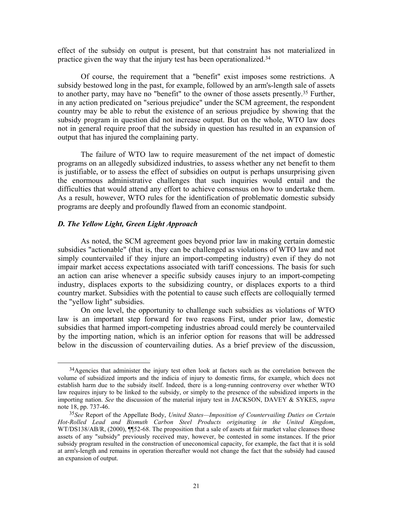effect of the subsidy on output is present, but that constraint has not materialized in practice given the way that the injury test has been operationalized[.34](#page-22-0)

Of course, the requirement that a "benefit" exist imposes some restrictions. A subsidy bestowed long in the past, for example, followed by an arm's-length sale of assets to another party, may have no "benefit" to the owner of those assets presently[.35](#page-22-1) Further, in any action predicated on "serious prejudice" under the SCM agreement, the respondent country may be able to rebut the existence of an serious prejudice by showing that the subsidy program in question did not increase output. But on the whole, WTO law does not in general require proof that the subsidy in question has resulted in an expansion of output that has injured the complaining party.

The failure of WTO law to require measurement of the net impact of domestic programs on an allegedly subsidized industries, to assess whether any net benefit to them is justifiable, or to assess the effect of subsidies on output is perhaps unsurprising given the enormous administrative challenges that such inquiries would entail and the difficulties that would attend any effort to achieve consensus on how to undertake them. As a result, however, WTO rules for the identification of problematic domestic subsidy programs are deeply and profoundly flawed from an economic standpoint.

#### *D. The Yellow Light, Green Light Approach*

As noted, the SCM agreement goes beyond prior law in making certain domestic subsidies "actionable" (that is, they can be challenged as violations of WTO law and not simply countervailed if they injure an import-competing industry) even if they do not impair market access expectations associated with tariff concessions. The basis for such an action can arise whenever a specific subsidy causes injury to an import-competing industry, displaces exports to the subsidizing country, or displaces exports to a third country market. Subsidies with the potential to cause such effects are colloquially termed the "yellow light" subsidies.

On one level, the opportunity to challenge such subsidies as violations of WTO law is an important step forward for two reasons First, under prior law, domestic subsidies that harmed import-competing industries abroad could merely be countervailed by the importing nation, which is an inferior option for reasons that will be addressed below in the discussion of countervailing duties. As a brief preview of the discussion,

<span id="page-22-0"></span><sup>&</sup>lt;sup>34</sup>Agencies that administer the injury test often look at factors such as the correlation between the volume of subsidized imports and the indicia of injury to domestic firms, for example, which does not establish harm due to the subsidy itself. Indeed, there is a long-running controversy over whether WTO law requires injury to be linked to the subsidy, or simply to the presence of the subsidized imports in the importing nation. *See* the discussion of the material injury test in JACKSON, DAVEY & SYKES, *supra*  note 18, pp. 737-46.

<span id="page-22-1"></span><sup>35</sup>*See* Report of the Appellate Body, *United States—Imposition of Countervailing Duties on Certain Hot-Rolled Lead and Bismuth Carbon Steel Products originating in the United Kingdom*, WT/DS138/AB/R, (2000),  $\P$ 52-68. The proposition that a sale of assets at fair market value cleanses those assets of any "subsidy" previously received may, however, be contested in some instances. If the prior subsidy program resulted in the construction of uneconomical capacity, for example, the fact that it is sold at arm's-length and remains in operation thereafter would not change the fact that the subsidy had caused an expansion of output.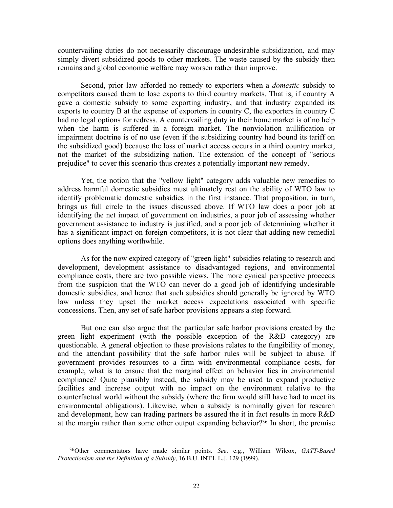countervailing duties do not necessarily discourage undesirable subsidization, and may simply divert subsidized goods to other markets. The waste caused by the subsidy then remains and global economic welfare may worsen rather than improve.

Second, prior law afforded no remedy to exporters when a *domestic* subsidy to competitors caused them to lose exports to third country markets. That is, if country A gave a domestic subsidy to some exporting industry, and that industry expanded its exports to country B at the expense of exporters in country C, the exporters in country C had no legal options for redress. A countervailing duty in their home market is of no help when the harm is suffered in a foreign market. The nonviolation nullification or impairment doctrine is of no use (even if the subsidizing country had bound its tariff on the subsidized good) because the loss of market access occurs in a third country market, not the market of the subsidizing nation. The extension of the concept of "serious prejudice" to cover this scenario thus creates a potentially important new remedy.

Yet, the notion that the "yellow light" category adds valuable new remedies to address harmful domestic subsidies must ultimately rest on the ability of WTO law to identify problematic domestic subsidies in the first instance. That proposition, in turn, brings us full circle to the issues discussed above. If WTO law does a poor job at identifying the net impact of government on industries, a poor job of assessing whether government assistance to industry is justified, and a poor job of determining whether it has a significant impact on foreign competitors, it is not clear that adding new remedial options does anything worthwhile.

As for the now expired category of "green light" subsidies relating to research and development, development assistance to disadvantaged regions, and environmental compliance costs, there are two possible views. The more cynical perspective proceeds from the suspicion that the WTO can never do a good job of identifying undesirable domestic subsidies, and hence that such subsidies should generally be ignored by WTO law unless they upset the market access expectations associated with specific concessions. Then, any set of safe harbor provisions appears a step forward.

But one can also argue that the particular safe harbor provisions created by the green light experiment (with the possible exception of the R&D category) are questionable. A general objection to these provisions relates to the fungibility of money, and the attendant possibility that the safe harbor rules will be subject to abuse. If government provides resources to a firm with environmental compliance costs, for example, what is to ensure that the marginal effect on behavior lies in environmental compliance? Quite plausibly instead, the subsidy may be used to expand productive facilities and increase output with no impact on the environment relative to the counterfactual world without the subsidy (where the firm would still have had to meet its environmental obligations). Likewise, when a subsidy is nominally given for research and development, how can trading partners be assured the it in fact results in more R&D at the margin rather than some other output expanding behavior?[36](#page-23-0) In short, the premise

<span id="page-23-0"></span> <sup>36</sup>Other commentators have made similar points. *See*. e.g., William Wilcox, *GATT-Based Protectionism and the Definition of a Subsidy*, 16 B.U. INT'L L.J. 129 (1999).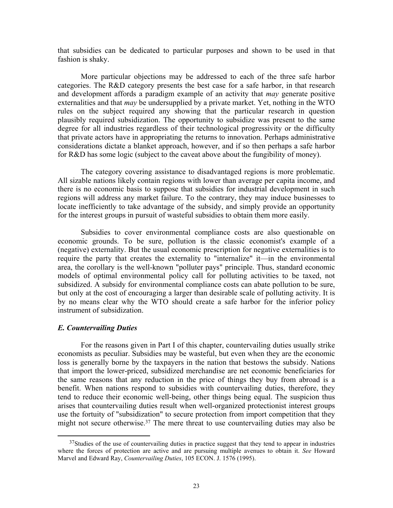that subsidies can be dedicated to particular purposes and shown to be used in that fashion is shaky.

More particular objections may be addressed to each of the three safe harbor categories. The R&D category presents the best case for a safe harbor, in that research and development affords a paradigm example of an activity that *may* generate positive externalities and that *may* be undersupplied by a private market. Yet, nothing in the WTO rules on the subject required any showing that the particular research in question plausibly required subsidization. The opportunity to subsidize was present to the same degree for all industries regardless of their technological progressivity or the difficulty that private actors have in appropriating the returns to innovation. Perhaps administrative considerations dictate a blanket approach, however, and if so then perhaps a safe harbor for R&D has some logic (subject to the caveat above about the fungibility of money).

The category covering assistance to disadvantaged regions is more problematic. All sizable nations likely contain regions with lower than average per capita income, and there is no economic basis to suppose that subsidies for industrial development in such regions will address any market failure. To the contrary, they may induce businesses to locate inefficiently to take advantage of the subsidy, and simply provide an opportunity for the interest groups in pursuit of wasteful subsidies to obtain them more easily.

Subsidies to cover environmental compliance costs are also questionable on economic grounds. To be sure, pollution is the classic economist's example of a (negative) externality. But the usual economic prescription for negative externalities is to require the party that creates the externality to "internalize" it—in the environmental area, the corollary is the well-known "polluter pays" principle. Thus, standard economic models of optimal environmental policy call for polluting activities to be taxed, not subsidized. A subsidy for environmental compliance costs can abate pollution to be sure, but only at the cost of encouraging a larger than desirable scale of polluting activity. It is by no means clear why the WTO should create a safe harbor for the inferior policy instrument of subsidization.

#### *E. Countervailing Duties*

For the reasons given in Part I of this chapter, countervailing duties usually strike economists as peculiar. Subsidies may be wasteful, but even when they are the economic loss is generally borne by the taxpayers in the nation that bestows the subsidy. Nations that import the lower-priced, subsidized merchandise are net economic beneficiaries for the same reasons that any reduction in the price of things they buy from abroad is a benefit. When nations respond to subsidies with countervailing duties, therefore, they tend to reduce their economic well-being, other things being equal. The suspicion thus arises that countervailing duties result when well-organized protectionist interest groups use the fortuity of "subsidization" to secure protection from import competition that they might not secure otherwise.<sup>37</sup> The mere threat to use countervailing duties may also be

<span id="page-24-0"></span><sup>&</sup>lt;sup>37</sup>Studies of the use of countervailing duties in practice suggest that they tend to appear in industries where the forces of protection are active and are pursuing multiple avenues to obtain it. *See* Howard Marvel and Edward Ray, *Countervailing Duties*, 105 ECON. J. 1576 (1995).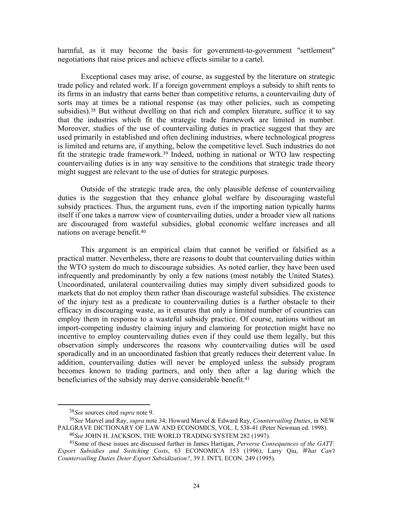harmful, as it may become the basis for government-to-government "settlement" negotiations that raise prices and achieve effects similar to a cartel.

Exceptional cases may arise, of course, as suggested by the literature on strategic trade policy and related work. If a foreign government employs a subsidy to shift rents to its firms in an industry that earns better than competitive returns, a countervailing duty of sorts may at times be a rational response (as may other policies, such as competing subsidies).<sup>38</sup> But without dwelling on that rich and complex literature, suffice it to say that the industries which fit the strategic trade framework are limited in number. Moreover, studies of the use of countervailing duties in practice suggest that they are used primarily in established and often declining industries, where technological progress is limited and returns are, if anything, below the competitive level. Such industries do not fit the strategic trade framework.[39](#page-25-1) Indeed, nothing in national or WTO law respecting countervailing duties is in any way sensitive to the conditions that strategic trade theory might suggest are relevant to the use of duties for strategic purposes.

Outside of the strategic trade area, the only plausible defense of countervailing duties is the suggestion that they enhance global welfare by discouraging wasteful subsidy practices. Thus, the argument runs, even if the importing nation typically harms itself if one takes a narrow view of countervailing duties, under a broader view all nations are discouraged from wasteful subsidies, global economic welfare increases and all nations on average benefit.[40](#page-25-2) 

This argument is an empirical claim that cannot be verified or falsified as a practical matter. Nevertheless, there are reasons to doubt that countervailing duties within the WTO system do much to discourage subsidies. As noted earlier, they have been used infrequently and predominantly by only a few nations (most notably the United States). Uncoordinated, unilateral countervailing duties may simply divert subsidized goods to markets that do not employ them rather than discourage wasteful subsidies. The existence of the injury test as a predicate to countervailing duties is a further obstacle to their efficacy in discouraging waste, as it ensures that only a limited number of countries can employ them in response to a wasteful subsidy practice. Of course, nations without an import-competing industry claiming injury and clamoring for protection might have no incentive to employ countervailing duties even if they could use them legally, but this observation simply underscores the reasons why countervailing duties will be used sporadically and in an uncoordinated fashion that greatly reduces their deterrent value. In addition, countervailing duties will never be employed unless the subsidy program becomes known to trading partners, and only then after a lag during which the beneficiaries of the subsidy may derive considerable benefit.<sup>[41](#page-25-3)</sup>

<span id="page-25-1"></span><span id="page-25-0"></span> <sup>38</sup>*See* sources cited *supra* note 9.

<sup>39</sup>*See* Marvel and Ray, *supra* note 34; Howard Marvel & Edward Ray, *Countervailing Duties*, in NEW PALGRAVE DICTIONARY OF LAW AND ECONOMICS, VOL. I, 538-41 (Peter Newman ed. 1998).

<span id="page-25-3"></span><span id="page-25-2"></span><sup>40</sup>*See* JOHN H. JACKSON, THE WORLD TRADING SYSTEM 282 (1997).

<sup>41</sup>Some of these issues are discussed further in James Hartigan, *Perverse Consequences of the GATT: Export Subsidies and Switching Costs*, 63 ECONOMICA 153 (1996); Larry Qiu, *What Can't Countervailing Duties Deter Export Subsidization?*, 39 J. INT'L ECON. 249 (1995).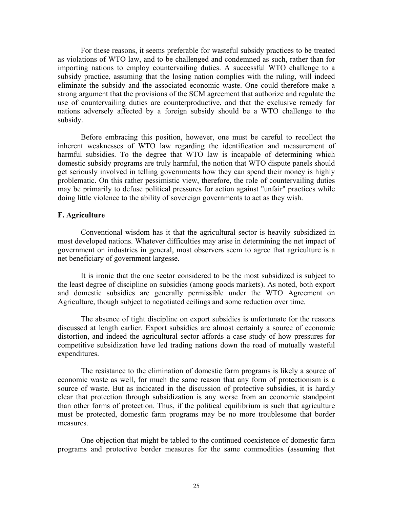For these reasons, it seems preferable for wasteful subsidy practices to be treated as violations of WTO law, and to be challenged and condemned as such, rather than for importing nations to employ countervailing duties. A successful WTO challenge to a subsidy practice, assuming that the losing nation complies with the ruling, will indeed eliminate the subsidy and the associated economic waste. One could therefore make a strong argument that the provisions of the SCM agreement that authorize and regulate the use of countervailing duties are counterproductive, and that the exclusive remedy for nations adversely affected by a foreign subsidy should be a WTO challenge to the subsidy.

Before embracing this position, however, one must be careful to recollect the inherent weaknesses of WTO law regarding the identification and measurement of harmful subsidies. To the degree that WTO law is incapable of determining which domestic subsidy programs are truly harmful, the notion that WTO dispute panels should get seriously involved in telling governments how they can spend their money is highly problematic. On this rather pessimistic view, therefore, the role of countervailing duties may be primarily to defuse political pressures for action against "unfair" practices while doing little violence to the ability of sovereign governments to act as they wish.

#### **F. Agriculture**

Conventional wisdom has it that the agricultural sector is heavily subsidized in most developed nations. Whatever difficulties may arise in determining the net impact of government on industries in general, most observers seem to agree that agriculture is a net beneficiary of government largesse.

It is ironic that the one sector considered to be the most subsidized is subject to the least degree of discipline on subsidies (among goods markets). As noted, both export and domestic subsidies are generally permissible under the WTO Agreement on Agriculture, though subject to negotiated ceilings and some reduction over time.

The absence of tight discipline on export subsidies is unfortunate for the reasons discussed at length earlier. Export subsidies are almost certainly a source of economic distortion, and indeed the agricultural sector affords a case study of how pressures for competitive subsidization have led trading nations down the road of mutually wasteful expenditures.

The resistance to the elimination of domestic farm programs is likely a source of economic waste as well, for much the same reason that any form of protectionism is a source of waste. But as indicated in the discussion of protective subsidies, it is hardly clear that protection through subsidization is any worse from an economic standpoint than other forms of protection. Thus, if the political equilibrium is such that agriculture must be protected, domestic farm programs may be no more troublesome that border measures.

One objection that might be tabled to the continued coexistence of domestic farm programs and protective border measures for the same commodities (assuming that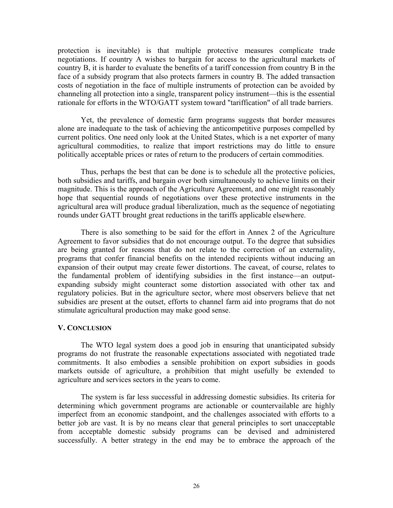protection is inevitable) is that multiple protective measures complicate trade negotiations. If country A wishes to bargain for access to the agricultural markets of country B, it is harder to evaluate the benefits of a tariff concession from country B in the face of a subsidy program that also protects farmers in country B. The added transaction costs of negotiation in the face of multiple instruments of protection can be avoided by channeling all protection into a single, transparent policy instrument—this is the essential rationale for efforts in the WTO/GATT system toward "tariffication" of all trade barriers.

Yet, the prevalence of domestic farm programs suggests that border measures alone are inadequate to the task of achieving the anticompetitive purposes compelled by current politics. One need only look at the United States, which is a net exporter of many agricultural commodities, to realize that import restrictions may do little to ensure politically acceptable prices or rates of return to the producers of certain commodities.

Thus, perhaps the best that can be done is to schedule all the protective policies, both subsidies and tariffs, and bargain over both simultaneously to achieve limits on their magnitude. This is the approach of the Agriculture Agreement, and one might reasonably hope that sequential rounds of negotiations over these protective instruments in the agricultural area will produce gradual liberalization, much as the sequence of negotiating rounds under GATT brought great reductions in the tariffs applicable elsewhere.

There is also something to be said for the effort in Annex 2 of the Agriculture Agreement to favor subsidies that do not encourage output. To the degree that subsidies are being granted for reasons that do not relate to the correction of an externality, programs that confer financial benefits on the intended recipients without inducing an expansion of their output may create fewer distortions. The caveat, of course, relates to the fundamental problem of identifying subsidies in the first instance—an outputexpanding subsidy might counteract some distortion associated with other tax and regulatory policies. But in the agriculture sector, where most observers believe that net subsidies are present at the outset, efforts to channel farm aid into programs that do not stimulate agricultural production may make good sense.

#### **V. CONCLUSION**

The WTO legal system does a good job in ensuring that unanticipated subsidy programs do not frustrate the reasonable expectations associated with negotiated trade commitments. It also embodies a sensible prohibition on export subsidies in goods markets outside of agriculture, a prohibition that might usefully be extended to agriculture and services sectors in the years to come.

The system is far less successful in addressing domestic subsidies. Its criteria for determining which government programs are actionable or countervailable are highly imperfect from an economic standpoint, and the challenges associated with efforts to a better job are vast. It is by no means clear that general principles to sort unacceptable from acceptable domestic subsidy programs can be devised and administered successfully. A better strategy in the end may be to embrace the approach of the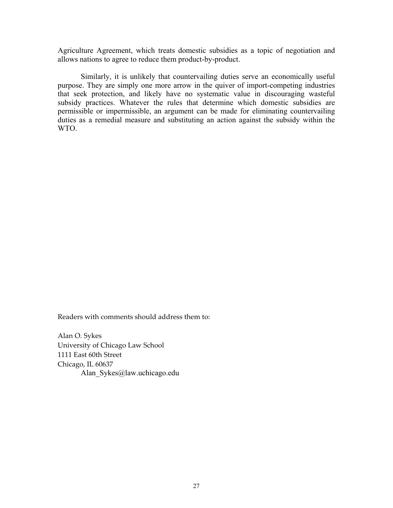Agriculture Agreement, which treats domestic subsidies as a topic of negotiation and allows nations to agree to reduce them product-by-product.

Similarly, it is unlikely that countervailing duties serve an economically useful purpose. They are simply one more arrow in the quiver of import-competing industries that seek protection, and likely have no systematic value in discouraging wasteful subsidy practices. Whatever the rules that determine which domestic subsidies are permissible or impermissible, an argument can be made for eliminating countervailing duties as a remedial measure and substituting an action against the subsidy within the WTO.

Readers with comments should address them to:

Alan O. Sykes University of Chicago Law School 1111 East 60th Street Chicago, IL 60637 Alan Sykes@law.uchicago.edu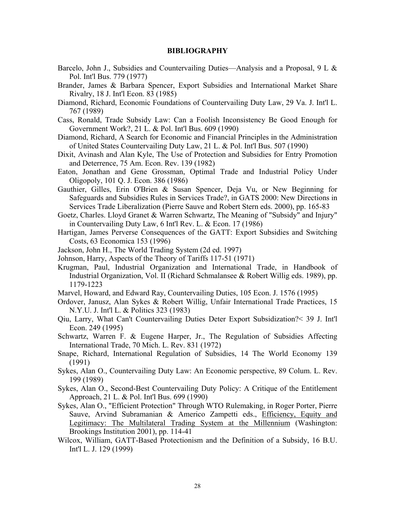#### **BIBLIOGRAPHY**

- Barcelo, John J., Subsidies and Countervailing Duties—Analysis and a Proposal, 9 L & Pol. Int'l Bus. 779 (1977)
- Brander, James & Barbara Spencer, Export Subsidies and International Market Share Rivalry, 18 J. Int'l Econ. 83 (1985)
- Diamond, Richard, Economic Foundations of Countervailing Duty Law, 29 Va. J. Int'l L. 767 (1989)
- Cass, Ronald, Trade Subsidy Law: Can a Foolish Inconsistency Be Good Enough for Government Work?, 21 L. & Pol. Int'l Bus. 609 (1990)
- Diamond, Richard, A Search for Economic and Financial Principles in the Administration of United States Countervailing Duty Law, 21 L. & Pol. Int'l Bus. 507 (1990)
- Dixit, Avinash and Alan Kyle, The Use of Protection and Subsidies for Entry Promotion and Deterrence, 75 Am. Econ. Rev. 139 (1982)
- Eaton, Jonathan and Gene Grossman, Optimal Trade and Industrial Policy Under Oligopoly, 101 Q. J. Econ. 386 (1986)
- Gauthier, Gilles, Erin O'Brien & Susan Spencer, Deja Vu, or New Beginning for Safeguards and Subsidies Rules in Services Trade?, in GATS 2000: New Directions in Services Trade Liberalization (Pierre Sauve and Robert Stern eds. 2000), pp. 165-83
- Goetz, Charles. Lloyd Granet & Warren Schwartz, The Meaning of "Subsidy" and Injury" in Countervailing Duty Law, 6 Int'l Rev. L. & Econ. 17 (1986)
- Hartigan, James Perverse Consequences of the GATT: Export Subsidies and Switching Costs, 63 Economica 153 (1996)
- Jackson, John H., The World Trading System (2d ed. 1997)
- Johnson, Harry, Aspects of the Theory of Tariffs 117-51 (1971)
- Krugman, Paul, Industrial Organization and International Trade, in Handbook of Industrial Organization, Vol. II (Richard Schmalansee & Robert Willig eds. 1989), pp. 1179-1223
- Marvel, Howard, and Edward Ray, Countervailing Duties, 105 Econ. J. 1576 (1995)
- Ordover, Janusz, Alan Sykes & Robert Willig, Unfair International Trade Practices, 15 N.Y.U. J. Int'l L. & Politics 323 (1983)
- Qiu, Larry, What Can't Countervailing Duties Deter Export Subsidization?< 39 J. Int'l Econ. 249 (1995)
- Schwartz, Warren F. & Eugene Harper, Jr., The Regulation of Subsidies Affecting International Trade, 70 Mich. L. Rev. 831 (1972)
- Snape, Richard, International Regulation of Subsidies, 14 The World Economy 139 (1991)
- Sykes, Alan O., Countervailing Duty Law: An Economic perspective, 89 Colum. L. Rev. 199 (1989)
- Sykes, Alan O., Second-Best Countervailing Duty Policy: A Critique of the Entitlement Approach, 21 L. & Pol. Int'l Bus. 699 (1990)
- Sykes, Alan O., "Efficient Protection" Through WTO Rulemaking, in Roger Porter, Pierre Sauve, Arvind Subramanian & Americo Zampetti eds., Efficiency, Equity and Legitimacy: The Multilateral Trading System at the Millennium (Washington: Brookings Institution 2001), pp. 114-41
- Wilcox, William, GATT-Based Protectionism and the Definition of a Subsidy, 16 B.U. Int'l L. J. 129 (1999)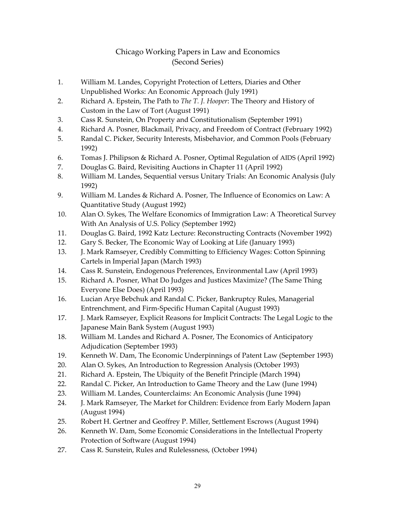## Chicago Working Papers in Law and Economics (Second Series)

- 1. William M. Landes, Copyright Protection of Letters, Diaries and Other Unpublished Works: An Economic Approach (July 1991)
- 2. Richard A. Epstein, The Path to *The T. J. Hooper*: The Theory and History of Custom in the Law of Tort (August 1991)
- 3. Cass R. Sunstein, On Property and Constitutionalism (September 1991)
- 4. Richard A. Posner, Blackmail, Privacy, and Freedom of Contract (February 1992)
- 5. Randal C. Picker, Security Interests, Misbehavior, and Common Pools (February 1992)
- 6. Tomas J. Philipson & Richard A. Posner, Optimal Regulation of AIDS (April 1992)
- 7. Douglas G. Baird, Revisiting Auctions in Chapter 11 (April 1992)
- 8. William M. Landes, Sequential versus Unitary Trials: An Economic Analysis (July 1992)
- 9. William M. Landes & Richard A. Posner, The Influence of Economics on Law: A Quantitative Study (August 1992)
- 10. Alan O. Sykes, The Welfare Economics of Immigration Law: A Theoretical Survey With An Analysis of U.S. Policy (September 1992)
- 11. Douglas G. Baird, 1992 Katz Lecture: Reconstructing Contracts (November 1992)
- 12. Gary S. Becker, The Economic Way of Looking at Life (January 1993)
- 13. J. Mark Ramseyer, Credibly Committing to Efficiency Wages: Cotton Spinning Cartels in Imperial Japan (March 1993)
- 14. Cass R. Sunstein, Endogenous Preferences, Environmental Law (April 1993)
- 15. Richard A. Posner, What Do Judges and Justices Maximize? (The Same Thing Everyone Else Does) (April 1993)
- 16. Lucian Arye Bebchuk and Randal C. Picker, Bankruptcy Rules, Managerial Entrenchment, and Firm-Specific Human Capital (August 1993)
- 17. J. Mark Ramseyer, Explicit Reasons for Implicit Contracts: The Legal Logic to the Japanese Main Bank System (August 1993)
- 18. William M. Landes and Richard A. Posner, The Economics of Anticipatory Adjudication (September 1993)
- 19. Kenneth W. Dam, The Economic Underpinnings of Patent Law (September 1993)
- 20. Alan O. Sykes, An Introduction to Regression Analysis (October 1993)
- 21. Richard A. Epstein, The Ubiquity of the Benefit Principle (March 1994)
- 22. Randal C. Picker, An Introduction to Game Theory and the Law (June 1994)
- 23. William M. Landes, Counterclaims: An Economic Analysis (June 1994)
- 24. J. Mark Ramseyer, The Market for Children: Evidence from Early Modern Japan (August 1994)
- 25. Robert H. Gertner and Geoffrey P. Miller, Settlement Escrows (August 1994)
- 26. Kenneth W. Dam, Some Economic Considerations in the Intellectual Property Protection of Software (August 1994)
- 27. Cass R. Sunstein, Rules and Rulelessness, (October 1994)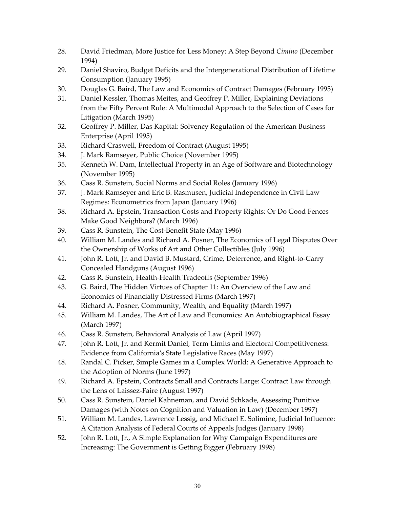- 28. David Friedman, More Justice for Less Money: A Step Beyond *Cimino* (December 1994)
- 29. Daniel Shaviro, Budget Deficits and the Intergenerational Distribution of Lifetime Consumption (January 1995)
- 30. Douglas G. Baird, The Law and Economics of Contract Damages (February 1995)
- 31. Daniel Kessler, Thomas Meites, and Geoffrey P. Miller, Explaining Deviations from the Fifty Percent Rule: A Multimodal Approach to the Selection of Cases for Litigation (March 1995)
- 32. Geoffrey P. Miller, Das Kapital: Solvency Regulation of the American Business Enterprise (April 1995)
- 33. Richard Craswell, Freedom of Contract (August 1995)
- 34. J. Mark Ramseyer, Public Choice (November 1995)
- 35. Kenneth W. Dam, Intellectual Property in an Age of Software and Biotechnology (November 1995)
- 36. Cass R. Sunstein, Social Norms and Social Roles (January 1996)
- 37. J. Mark Ramseyer and Eric B. Rasmusen, Judicial Independence in Civil Law Regimes: Econometrics from Japan (January 1996)
- 38. Richard A. Epstein, Transaction Costs and Property Rights: Or Do Good Fences Make Good Neighbors? (March 1996)
- 39. Cass R. Sunstein, The Cost-Benefit State (May 1996)
- 40. William M. Landes and Richard A. Posner, The Economics of Legal Disputes Over the Ownership of Works of Art and Other Collectibles (July 1996)
- 41. John R. Lott, Jr. and David B. Mustard, Crime, Deterrence, and Right-to-Carry Concealed Handguns (August 1996)
- 42. Cass R. Sunstein, Health-Health Tradeoffs (September 1996)
- 43. G. Baird, The Hidden Virtues of Chapter 11: An Overview of the Law and Economics of Financially Distressed Firms (March 1997)
- 44. Richard A. Posner, Community, Wealth, and Equality (March 1997)
- 45. William M. Landes, The Art of Law and Economics: An Autobiographical Essay (March 1997)
- 46. Cass R. Sunstein, Behavioral Analysis of Law (April 1997)
- 47. John R. Lott, Jr. and Kermit Daniel, Term Limits and Electoral Competitiveness: Evidence from California's State Legislative Races (May 1997)
- 48. Randal C. Picker, Simple Games in a Complex World: A Generative Approach to the Adoption of Norms (June 1997)
- 49. Richard A. Epstein, Contracts Small and Contracts Large: Contract Law through the Lens of Laissez-Faire (August 1997)
- 50. Cass R. Sunstein, Daniel Kahneman, and David Schkade, Assessing Punitive Damages (with Notes on Cognition and Valuation in Law) (December 1997)
- 51. William M. Landes, Lawrence Lessig, and Michael E. Solimine, Judicial Influence: A Citation Analysis of Federal Courts of Appeals Judges (January 1998)
- 52. John R. Lott, Jr., A Simple Explanation for Why Campaign Expenditures are Increasing: The Government is Getting Bigger (February 1998)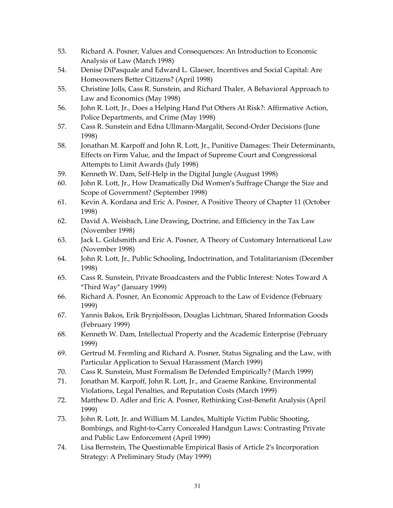- 53. Richard A. Posner, Values and Consequences: An Introduction to Economic Analysis of Law (March 1998)
- 54. Denise DiPasquale and Edward L. Glaeser, Incentives and Social Capital: Are Homeowners Better Citizens? (April 1998)
- 55. Christine Jolls, Cass R. Sunstein, and Richard Thaler, A Behavioral Approach to Law and Economics (May 1998)
- 56. John R. Lott, Jr., Does a Helping Hand Put Others At Risk?: Affirmative Action, Police Departments, and Crime (May 1998)
- 57. Cass R. Sunstein and Edna Ullmann-Margalit, Second-Order Decisions (June 1998)
- 58. Jonathan M. Karpoff and John R. Lott, Jr., Punitive Damages: Their Determinants, Effects on Firm Value, and the Impact of Supreme Court and Congressional Attempts to Limit Awards (July 1998)
- 59. Kenneth W. Dam, Self-Help in the Digital Jungle (August 1998)
- 60. John R. Lott, Jr., How Dramatically Did Women's Suffrage Change the Size and Scope of Government? (September 1998)
- 61. Kevin A. Kordana and Eric A. Posner, A Positive Theory of Chapter 11 (October 1998)
- 62. David A. Weisbach, Line Drawing, Doctrine, and Efficiency in the Tax Law (November 1998)
- 63. Jack L. Goldsmith and Eric A. Posner, A Theory of Customary International Law (November 1998)
- 64. John R. Lott, Jr., Public Schooling, Indoctrination, and Totalitarianism (December 1998)
- 65. Cass R. Sunstein, Private Broadcasters and the Public Interest: Notes Toward A "Third Way" (January 1999)
- 66. Richard A. Posner, An Economic Approach to the Law of Evidence (February 1999)
- 67. Yannis Bakos, Erik Brynjolfsson, Douglas Lichtman, Shared Information Goods (February 1999)
- 68. Kenneth W. Dam, Intellectual Property and the Academic Enterprise (February 1999)
- 69. Gertrud M. Fremling and Richard A. Posner, Status Signaling and the Law, with Particular Application to Sexual Harassment (March 1999)
- 70. Cass R. Sunstein, Must Formalism Be Defended Empirically? (March 1999)
- 71. Jonathan M. Karpoff, John R. Lott, Jr., and Graeme Rankine, Environmental Violations, Legal Penalties, and Reputation Costs (March 1999)
- 72. Matthew D. Adler and Eric A. Posner, Rethinking Cost-Benefit Analysis (April 1999)
- 73. John R. Lott, Jr. and William M. Landes, Multiple Victim Public Shooting, Bombings, and Right-to-Carry Concealed Handgun Laws: Contrasting Private and Public Law Enforcement (April 1999)
- 74. Lisa Bernstein, The Questionable Empirical Basis of Article 2's Incorporation Strategy: A Preliminary Study (May 1999)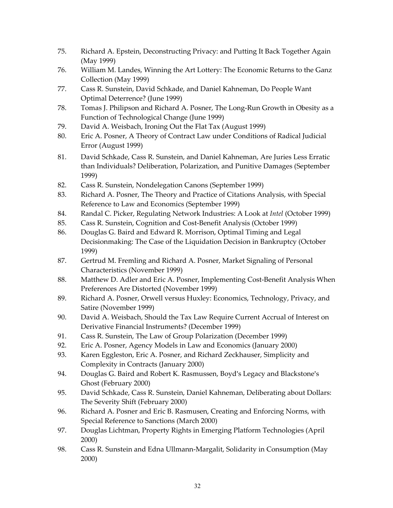- 75. Richard A. Epstein, Deconstructing Privacy: and Putting It Back Together Again (May 1999)
- 76. William M. Landes, Winning the Art Lottery: The Economic Returns to the Ganz Collection (May 1999)
- 77. Cass R. Sunstein, David Schkade, and Daniel Kahneman, Do People Want Optimal Deterrence? (June 1999)
- 78. Tomas J. Philipson and Richard A. Posner, The Long-Run Growth in Obesity as a Function of Technological Change (June 1999)
- 79. David A. Weisbach, Ironing Out the Flat Tax (August 1999)
- 80. Eric A. Posner, A Theory of Contract Law under Conditions of Radical Judicial Error (August 1999)
- 81. David Schkade, Cass R. Sunstein, and Daniel Kahneman, Are Juries Less Erratic than Individuals? Deliberation, Polarization, and Punitive Damages (September 1999)
- 82. Cass R. Sunstein, Nondelegation Canons (September 1999)
- 83. Richard A. Posner, The Theory and Practice of Citations Analysis, with Special Reference to Law and Economics (September 1999)
- 84. Randal C. Picker, Regulating Network Industries: A Look at *Intel* (October 1999)
- 85. Cass R. Sunstein, Cognition and Cost-Benefit Analysis (October 1999)
- 86. Douglas G. Baird and Edward R. Morrison, Optimal Timing and Legal Decisionmaking: The Case of the Liquidation Decision in Bankruptcy (October 1999)
- 87. Gertrud M. Fremling and Richard A. Posner, Market Signaling of Personal Characteristics (November 1999)
- 88. Matthew D. Adler and Eric A. Posner, Implementing Cost-Benefit Analysis When Preferences Are Distorted (November 1999)
- 89. Richard A. Posner, Orwell versus Huxley: Economics, Technology, Privacy, and Satire (November 1999)
- 90. David A. Weisbach, Should the Tax Law Require Current Accrual of Interest on Derivative Financial Instruments? (December 1999)
- 91. Cass R. Sunstein, The Law of Group Polarization (December 1999)
- 92. Eric A. Posner, Agency Models in Law and Economics (January 2000)
- 93. Karen Eggleston, Eric A. Posner, and Richard Zeckhauser, Simplicity and Complexity in Contracts (January 2000)
- 94. Douglas G. Baird and Robert K. Rasmussen, Boyd's Legacy and Blackstone's Ghost (February 2000)
- 95. David Schkade, Cass R. Sunstein, Daniel Kahneman, Deliberating about Dollars: The Severity Shift (February 2000)
- 96. Richard A. Posner and Eric B. Rasmusen, Creating and Enforcing Norms, with Special Reference to Sanctions (March 2000)
- 97. Douglas Lichtman, Property Rights in Emerging Platform Technologies (April 2000)
- 98. Cass R. Sunstein and Edna Ullmann-Margalit, Solidarity in Consumption (May 2000)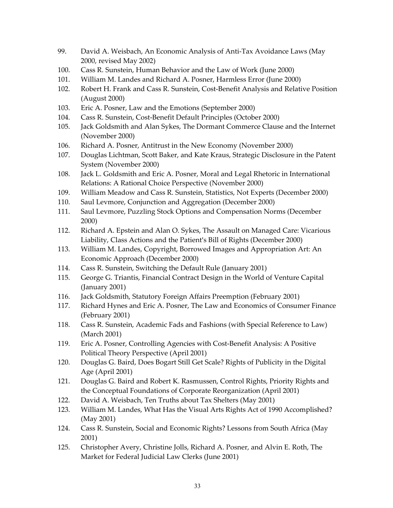- 99. David A. Weisbach, An Economic Analysis of Anti-Tax Avoidance Laws (May 2000, revised May 2002)
- 100. Cass R. Sunstein, Human Behavior and the Law of Work (June 2000)
- 101. William M. Landes and Richard A. Posner, Harmless Error (June 2000)
- 102. Robert H. Frank and Cass R. Sunstein, Cost-Benefit Analysis and Relative Position (August 2000)
- 103. Eric A. Posner, Law and the Emotions (September 2000)
- 104. Cass R. Sunstein, Cost-Benefit Default Principles (October 2000)
- 105. Jack Goldsmith and Alan Sykes, The Dormant Commerce Clause and the Internet (November 2000)
- 106. Richard A. Posner, Antitrust in the New Economy (November 2000)
- 107. Douglas Lichtman, Scott Baker, and Kate Kraus, Strategic Disclosure in the Patent System (November 2000)
- 108. Jack L. Goldsmith and Eric A. Posner, Moral and Legal Rhetoric in International Relations: A Rational Choice Perspective (November 2000)
- 109. William Meadow and Cass R. Sunstein, Statistics, Not Experts (December 2000)
- 110. Saul Levmore, Conjunction and Aggregation (December 2000)
- 111. Saul Levmore, Puzzling Stock Options and Compensation Norms (December 2000)
- 112. Richard A. Epstein and Alan O. Sykes, The Assault on Managed Care: Vicarious Liability, Class Actions and the Patient's Bill of Rights (December 2000)
- 113. William M. Landes, Copyright, Borrowed Images and Appropriation Art: An Economic Approach (December 2000)
- 114. Cass R. Sunstein, Switching the Default Rule (January 2001)
- 115. George G. Triantis, Financial Contract Design in the World of Venture Capital (January 2001)
- 116. Jack Goldsmith, Statutory Foreign Affairs Preemption (February 2001)
- 117. Richard Hynes and Eric A. Posner, The Law and Economics of Consumer Finance (February 2001)
- 118. Cass R. Sunstein, Academic Fads and Fashions (with Special Reference to Law) (March 2001)
- 119. Eric A. Posner, Controlling Agencies with Cost-Benefit Analysis: A Positive Political Theory Perspective (April 2001)
- 120. Douglas G. Baird, Does Bogart Still Get Scale? Rights of Publicity in the Digital Age (April 2001)
- 121. Douglas G. Baird and Robert K. Rasmussen, Control Rights, Priority Rights and the Conceptual Foundations of Corporate Reorganization (April 2001)
- 122. David A. Weisbach, Ten Truths about Tax Shelters (May 2001)
- 123. William M. Landes, What Has the Visual Arts Rights Act of 1990 Accomplished? (May 2001)
- 124. Cass R. Sunstein, Social and Economic Rights? Lessons from South Africa (May 2001)
- 125. Christopher Avery, Christine Jolls, Richard A. Posner, and Alvin E. Roth, The Market for Federal Judicial Law Clerks (June 2001)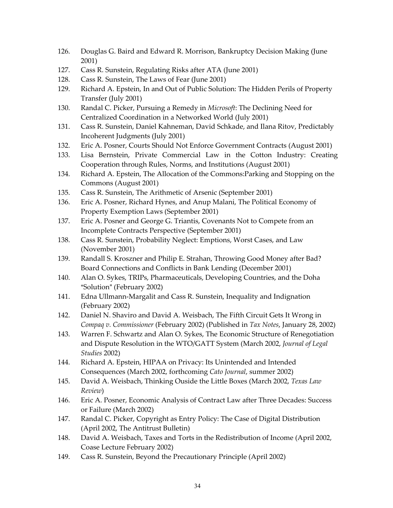- 126. Douglas G. Baird and Edward R. Morrison, Bankruptcy Decision Making (June 2001)
- 127. Cass R. Sunstein, Regulating Risks after ATA (June 2001)
- 128. Cass R. Sunstein, The Laws of Fear (June 2001)
- 129. Richard A. Epstein, In and Out of Public Solution: The Hidden Perils of Property Transfer (July 2001)
- 130. Randal C. Picker, Pursuing a Remedy in *Microsoft*: The Declining Need for Centralized Coordination in a Networked World (July 2001)
- 131. Cass R. Sunstein, Daniel Kahneman, David Schkade, and Ilana Ritov, Predictably Incoherent Judgments (July 2001)
- 132. Eric A. Posner, Courts Should Not Enforce Government Contracts (August 2001)
- 133. Lisa Bernstein, Private Commercial Law in the Cotton Industry: Creating Cooperation through Rules, Norms, and Institutions (August 2001)
- 134. Richard A. Epstein, The Allocation of the Commons:Parking and Stopping on the Commons (August 2001)
- 135. Cass R. Sunstein, The Arithmetic of Arsenic (September 2001)
- 136. Eric A. Posner, Richard Hynes, and Anup Malani, The Political Economy of Property Exemption Laws (September 2001)
- 137. Eric A. Posner and George G. Triantis, Covenants Not to Compete from an Incomplete Contracts Perspective (September 2001)
- 138. Cass R. Sunstein, Probability Neglect: Emptions, Worst Cases, and Law (November 2001)
- 139. Randall S. Kroszner and Philip E. Strahan, Throwing Good Money after Bad? Board Connections and Conflicts in Bank Lending (December 2001)
- 140. Alan O. Sykes, TRIPs, Pharmaceuticals, Developing Countries, and the Doha "Solution" (February 2002)
- 141. Edna Ullmann-Margalit and Cass R. Sunstein, Inequality and Indignation (February 2002)
- 142. Daniel N. Shaviro and David A. Weisbach, The Fifth Circuit Gets It Wrong in *Compaq v. Commissioner* (February 2002) (Published in *Tax Notes*, January 28, 2002)
- 143. Warren F. Schwartz and Alan O. Sykes, The Economic Structure of Renegotiation and Dispute Resolution in the WTO/GATT System (March 2002, *Journal of Legal Studies* 2002)
- 144. Richard A. Epstein, HIPAA on Privacy: Its Unintended and Intended Consequences (March 2002, forthcoming *Cato Journal*, summer 2002)
- 145. David A. Weisbach, Thinking Ouside the Little Boxes (March 2002, *Texas Law Review*)
- 146. Eric A. Posner, Economic Analysis of Contract Law after Three Decades: Success or Failure (March 2002)
- 147. Randal C. Picker, Copyright as Entry Policy: The Case of Digital Distribution (April 2002, The Antitrust Bulletin)
- 148. David A. Weisbach, Taxes and Torts in the Redistribution of Income (April 2002, Coase Lecture February 2002)
- 149. Cass R. Sunstein, Beyond the Precautionary Principle (April 2002)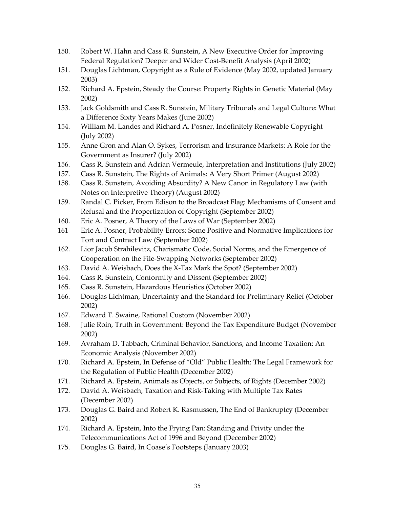- 150. Robert W. Hahn and Cass R. Sunstein, A New Executive Order for Improving Federal Regulation? Deeper and Wider Cost-Benefit Analysis (April 2002)
- 151. Douglas Lichtman, Copyright as a Rule of Evidence (May 2002, updated January 2003)
- 152. Richard A. Epstein, Steady the Course: Property Rights in Genetic Material (May 2002)
- 153. Jack Goldsmith and Cass R. Sunstein, Military Tribunals and Legal Culture: What a Difference Sixty Years Makes (June 2002)
- 154. William M. Landes and Richard A. Posner, Indefinitely Renewable Copyright (July 2002)
- 155. Anne Gron and Alan O. Sykes, Terrorism and Insurance Markets: A Role for the Government as Insurer? (July 2002)
- 156. Cass R. Sunstein and Adrian Vermeule, Interpretation and Institutions (July 2002)
- 157. Cass R. Sunstein, The Rights of Animals: A Very Short Primer (August 2002)
- 158. Cass R. Sunstein, Avoiding Absurdity? A New Canon in Regulatory Law (with Notes on Interpretive Theory) (August 2002)
- 159. Randal C. Picker, From Edison to the Broadcast Flag: Mechanisms of Consent and Refusal and the Propertization of Copyright (September 2002)
- 160. Eric A. Posner, A Theory of the Laws of War (September 2002)
- 161 Eric A. Posner, Probability Errors: Some Positive and Normative Implications for Tort and Contract Law (September 2002)
- 162. Lior Jacob Strahilevitz, Charismatic Code, Social Norms, and the Emergence of Cooperation on the File-Swapping Networks (September 2002)
- 163. David A. Weisbach, Does the X-Tax Mark the Spot? (September 2002)
- 164. Cass R. Sunstein, Conformity and Dissent (September 2002)
- 165. Cass R. Sunstein, Hazardous Heuristics (October 2002)
- 166. Douglas Lichtman, Uncertainty and the Standard for Preliminary Relief (October 2002)
- 167. Edward T. Swaine, Rational Custom (November 2002)
- 168. Julie Roin, Truth in Government: Beyond the Tax Expenditure Budget (November 2002)
- 169. Avraham D. Tabbach, Criminal Behavior, Sanctions, and Income Taxation: An Economic Analysis (November 2002)
- 170. Richard A. Epstein, In Defense of "Old" Public Health: The Legal Framework for the Regulation of Public Health (December 2002)
- 171. Richard A. Epstein, Animals as Objects, or Subjects, of Rights (December 2002)
- 172. David A. Weisbach, Taxation and Risk-Taking with Multiple Tax Rates (December 2002)
- 173. Douglas G. Baird and Robert K. Rasmussen, The End of Bankruptcy (December 2002)
- 174. Richard A. Epstein, Into the Frying Pan: Standing and Privity under the Telecommunications Act of 1996 and Beyond (December 2002)
- 175. Douglas G. Baird, In Coase's Footsteps (January 2003)